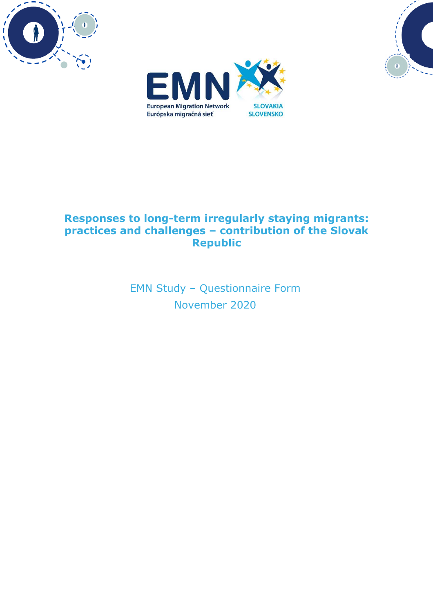





# **Responses to long-term irregularly staying migrants: practices and challenges – contribution of the Slovak Republic**

EMN Study – Questionnaire Form November 2020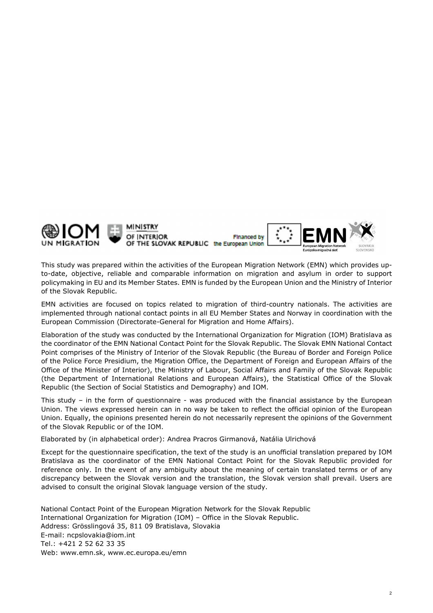

This study was prepared within the activities of the European Migration Network (EMN) which provides upto-date, objective, reliable and comparable information on migration and asylum in order to support policymaking in EU and its Member States. EMN is funded by the European Union and the Ministry of Interior of the Slovak Republic.

EMN activities are focused on topics related to migration of third-country nationals. The activities are implemented through national contact points in all EU Member States and Norway in coordination with the European Commission (Directorate-General for Migration and Home Affairs).

Elaboration of the study was conducted by the International Organization for Migration (IOM) Bratislava as the coordinator of the EMN National Contact Point for the Slovak Republic. The Slovak EMN National Contact Point comprises of the Ministry of Interior of the Slovak Republic (the Bureau of Border and Foreign Police of the Police Force Presidium, the Migration Office, the Department of Foreign and European Affairs of the Office of the Minister of Interior), the Ministry of Labour, Social Affairs and Family of the Slovak Republic (the Department of International Relations and European Affairs), the Statistical Office of the Slovak Republic (the Section of Social Statistics and Demography) and IOM.

This study – in the form of questionnaire - was produced with the financial assistance by the European Union. The views expressed herein can in no way be taken to reflect the official opinion of the European Union. Equally, the opinions presented herein do not necessarily represent the opinions of the Government of the Slovak Republic or of the IOM.

Elaborated by (in alphabetical order): Andrea Pracros Girmanová, Natália Ulrichová

Except for the questionnaire specification, the text of the study is an unofficial translation prepared by IOM Bratislava as the coordinator of the EMN National Contact Point for the Slovak Republic provided for reference only. In the event of any ambiguity about the meaning of certain translated terms or of any discrepancy between the Slovak version and the translation, the Slovak version shall prevail. Users are advised to consult the original Slovak language version of the study.

 National Contact Point of the European Migration Network for the Slovak Republic International Organization for Migration (IOM) – Office in the Slovak Republic. Address: Grösslingová 35, 811 09 Bratislava, Slovakia E-mail: ncpslovakia@iom.int Tel.: +421 2 52 62 33 35 Web: www.emn.sk, www.ec.europa.eu/emn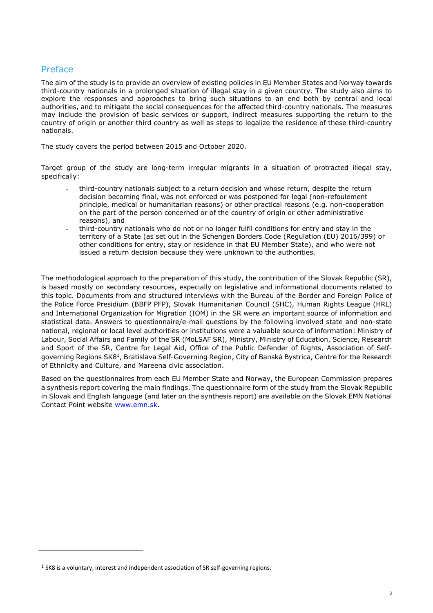## Preface

The aim of the study is to provide an overview of existing policies in EU Member States and Norway towards third-country nationals in a prolonged situation of illegal stay in a given country. The study also aims to explore the responses and approaches to bring such situations to an end both by central and local authorities, and to mitigate the social consequences for the affected third-country nationals. The measures may include the provision of basic services or support, indirect measures supporting the return to the country of origin or another third country as well as steps to legalize the residence of these third-country nationals.

The study covers the period between 2015 and October 2020.

Target group of the study are long-term irregular migrants in a situation of protracted illegal stay, specifically:

- third-country nationals subject to a return decision and whose return, despite the return decision becoming final, was not enforced or was postponed for legal (non-refoulement principle, medical or humanitarian reasons) or other practical reasons (e.g. non-cooperation on the part of the person concerned or of the country of origin or other administrative reasons), and
- third-country nationals who do not or no longer fulfil conditions for entry and stay in the territory of a State (as set out in the Schengen Borders Code (Regulation (EU) 2016/399) or other conditions for entry, stay or residence in that EU Member State), and who were not issued a return decision because they were unknown to the authorities.

The methodological approach to the preparation of this study, the contribution of the Slovak Republic (SR), is based mostly on secondary resources, especially on legislative and informational documents related to this topic. Documents from and structured interviews with the Bureau of the Border and Foreign Police of the Police Force Presidium (BBFP PFP), Slovak Humanitarian Council (SHC), Human Rights League (HRL) and International Organization for Migration (IOM) in the SR were an important source of information and statistical data. Answers to questionnaire/e-mail questions by the following involved state and non-state national, regional or local level authorities or institutions were a valuable source of information: Ministry of Labour, Social Affairs and Family of the SR (MoLSAF SR), Ministry, Ministry of Education, Science, Research and Sport of the SR, Centre for Legal Aid, Office of the Public Defender of Rights, Association of Selfgoverning Regions SK8<sup>1</sup>, Bratislava Self-Governing Region, City of Banská Bystrica, Centre for the Research of Ethnicity and Culture, and Mareena civic association.

Based on the questionnaires from each EU Member State and Norway, the European Commission prepares a synthesis report covering the main findings. The questionnaire form of the study from the Slovak Republic in Slovak and English language (and later on the synthesis report) are available on the Slovak EMN National Contact Point website www.emn.sk.

 $<sup>1</sup>$  SK8 is a voluntary, interest and independent association of SR self-governing regions.</sup>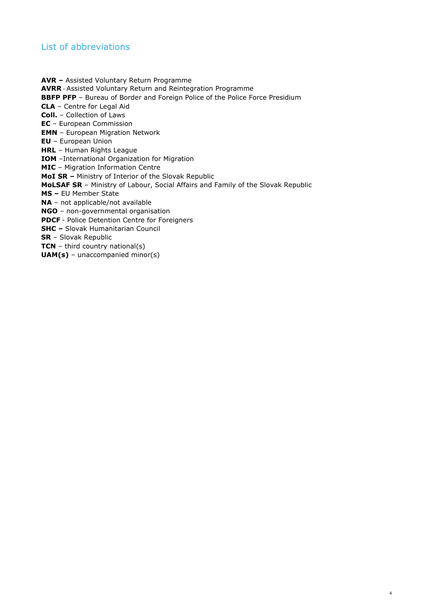## List of abbreviations

**AVR –** Assisted Voluntary Return Programme **AVRR** - Assisted Voluntary Return and Reintegration Programme **BBFP PFP** - Bureau of Border and Foreign Police of the Police Force Presidium **CLA** – Centre for Legal Aid **Coll.** – Collection of Laws **EC** – European Commission **EMN** – European Migration Network **EU** – European Union **HRL** – Human Rights League **IOM** –International Organization for Migration **MIC** – Migration Information Centre **MoI SR –** Ministry of Interior of the Slovak Republic **MoLSAF SR** – Ministry of Labour, Social Affairs and Family of the Slovak Republic **MS –** EU Member State **NA** – not applicable/not available **NGO** – non-governmental organisation **PDCF** - Police Detention Centre for Foreigners **SHC –** Slovak Humanitarian Council **SR** – Slovak Republic **TCN** – third country national(s) **UAM(s)** – unaccompanied minor(s)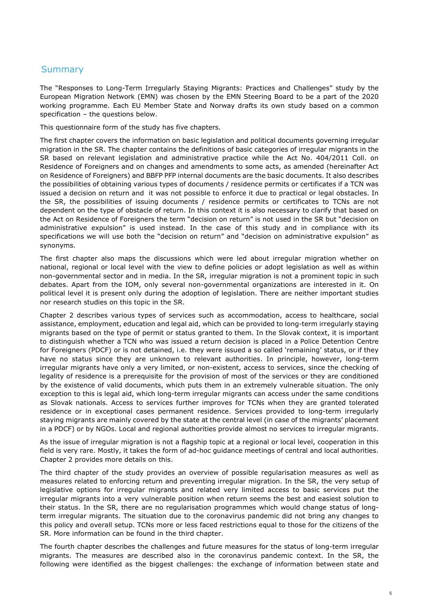## **Summary**

The "Responses to Long-Term Irregularly Staying Migrants: Practices and Challenges" study by the European Migration Network (EMN) was chosen by the EMN Steering Board to be a part of the 2020 working programme. Each EU Member State and Norway drafts its own study based on a common specification – the questions below.

This questionnaire form of the study has five chapters.

The first chapter covers the information on basic legislation and political documents governing irregular migration in the SR. The chapter contains the definitions of basic categories of irregular migrants in the SR based on relevant legislation and administrative practice while the Act No. 404/2011 Coll. on Residence of Foreigners and on changes and amendments to some acts, as amended (hereinafter Act on Residence of Foreigners) and BBFP PFP internal documents are the basic documents. It also describes the possibilities of obtaining various types of documents / residence permits or certificates if a TCN was issued a decision on return and it was not possible to enforce it due to practical or legal obstacles. In the SR, the possibilities of issuing documents / residence permits or certificates to TCNs are not dependent on the type of obstacle of return. In this context it is also necessary to clarify that based on the Act on Residence of Foreigners the term "decision on return" is not used in the SR but "decision on administrative expulsion" is used instead. In the case of this study and in compliance with its specifications we will use both the "decision on return" and "decision on administrative expulsion" as synonyms.

The first chapter also maps the discussions which were led about irregular migration whether on national, regional or local level with the view to define policies or adopt legislation as well as within non-governmental sector and in media. In the SR, irregular migration is not a prominent topic in such debates. Apart from the IOM, only several non-governmental organizations are interested in it. On political level it is present only during the adoption of legislation. There are neither important studies nor research studies on this topic in the SR.

Chapter 2 describes various types of services such as accommodation, access to healthcare, social assistance, employment, education and legal aid, which can be provided to long-term irregularly staying migrants based on the type of permit or status granted to them. In the Slovak context, it is important to distinguish whether a TCN who was issued a return decision is placed in a Police Detention Centre for Foreigners (PDCF) or is not detained, i.e. they were issued a so called 'remaining' status, or if they have no status since they are unknown to relevant authorities. In principle, however, long-term irregular migrants have only a very limited, or non-existent, access to services, since the checking of legality of residence is a prerequisite for the provision of most of the services or they are conditioned by the existence of valid documents, which puts them in an extremely vulnerable situation. The only exception to this is legal aid, which long-term irregular migrants can access under the same conditions as Slovak nationals. Access to services further improves for TCNs when they are granted tolerated residence or in exceptional cases permanent residence. Services provided to long-term irregularly staying migrants are mainly covered by the state at the central level (in case of the migrants' placement in a PDCF) or by NGOs. Local and regional authorities provide almost no services to irregular migrants.

As the issue of irregular migration is not a flagship topic at a regional or local level, cooperation in this field is very rare. Mostly, it takes the form of ad-hoc guidance meetings of central and local authorities. Chapter 2 provides more details on this.

The third chapter of the study provides an overview of possible regularisation measures as well as measures related to enforcing return and preventing irregular migration. In the SR, the very setup of legislative options for irregular migrants and related very limited access to basic services put the irregular migrants into a very vulnerable position when return seems the best and easiest solution to their status. In the SR, there are no regularisation programmes which would change status of longterm irregular migrants. The situation due to the coronavirus pandemic did not bring any changes to this policy and overall setup. TCNs more or less faced restrictions equal to those for the citizens of the SR. More information can be found in the third chapter.

The fourth chapter describes the challenges and future measures for the status of long-term irregular migrants. The measures are described also in the coronavirus pandemic context. In the SR, the following were identified as the biggest challenges: the exchange of information between state and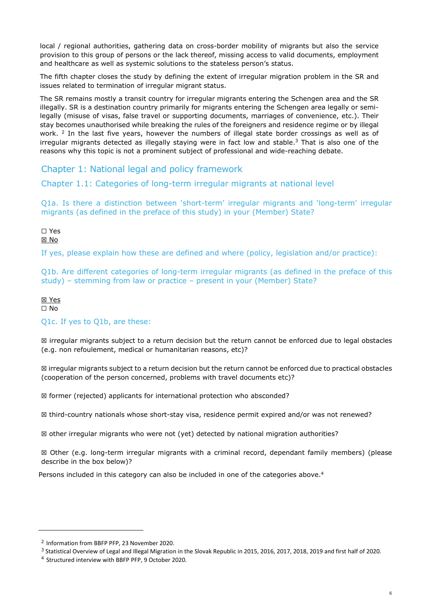local / regional authorities, gathering data on cross-border mobility of migrants but also the service provision to this group of persons or the lack thereof, missing access to valid documents, employment and healthcare as well as systemic solutions to the stateless person's status.

The fifth chapter closes the study by defining the extent of irregular migration problem in the SR and issues related to termination of irregular migrant status.

The SR remains mostly a transit country for irregular migrants entering the Schengen area and the SR illegally. SR is a destination country primarily for migrants entering the Schengen area legally or semilegally (misuse of visas, false travel or supporting documents, marriages of convenience, etc.). Their stay becomes unauthorised while breaking the rules of the foreigners and residence regime or by illegal work. <sup>2</sup> In the last five years, however the numbers of illegal state border crossings as well as of irregular migrants detected as illegally staying were in fact low and stable.<sup>3</sup> That is also one of the reasons why this topic is not a prominent subject of professional and wide-reaching debate.

Chapter 1: National legal and policy framework

Chapter 1.1: Categories of long-term irregular migrants at national level

Q1a. Is there a distinction between 'short-term' irregular migrants and 'long-term' irregular migrants (as defined in the preface of this study) in your (Member) State?

☐ Yes

☒ No

If yes, please explain how these are defined and where (policy, legislation and/or practice):

Q1b. Are different categories of long-term irregular migrants (as defined in the preface of this study) – stemming from law or practice – present in your (Member) State?

### ☒ Yes

☐ No

### Q1c. If yes to Q1b, are these:

☒ irregular migrants subject to a return decision but the return cannot be enforced due to legal obstacles (e.g. non refoulement, medical or humanitarian reasons, etc)?

☒ irregular migrants subject to a return decision but the return cannot be enforced due to practical obstacles (cooperation of the person concerned, problems with travel documents etc)?

☒ former (rejected) applicants for international protection who absconded?

☒ third-country nationals whose short-stay visa, residence permit expired and/or was not renewed?

☒ other irregular migrants who were not (yet) detected by national migration authorities?

☒ Other (e.g. long-term irregular migrants with a criminal record, dependant family members) (please describe in the box below)?

Persons included in this category can also be included in one of the categories above. $4$ 

<sup>2</sup> Information from BBFP PFP, 23 November 2020.

<sup>&</sup>lt;sup>3</sup> Statistical Overview of Legal and Illegal Migration in the Slovak Republic in 2015, 2016, 2017, 2018, 2019 and first half of 2020.

<sup>4</sup> Structured interview with BBFP PFP, 9 October 2020.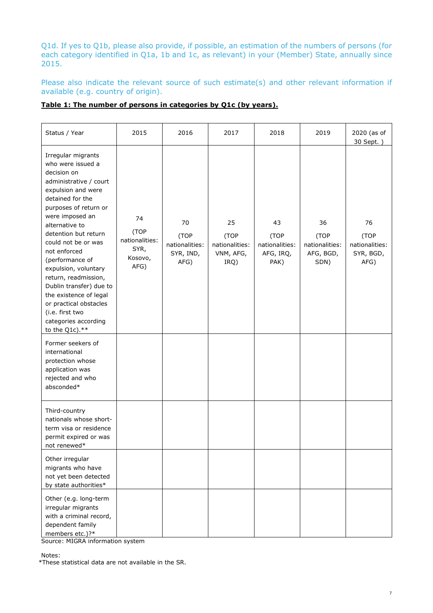Q1d. If yes to Q1b, please also provide, if possible, an estimation of the numbers of persons (for each category identified in Q1a, 1b and 1c, as relevant) in your (Member) State, annually since 2015.

Please also indicate the relevant source of such estimate(s) and other relevant information if available (e.g. country of origin).

|  | Table 1: The number of persons in categories by O1c (by years). |  |
|--|-----------------------------------------------------------------|--|
|  |                                                                 |  |

| Status / Year                                                                                                                                                                                                                                                                                                                                                                                                                                                             | 2015                                                    | 2016                                              | 2017                                              | 2018                                              | 2019                                              | 2020 (as of<br>30 Sept. )                         |
|---------------------------------------------------------------------------------------------------------------------------------------------------------------------------------------------------------------------------------------------------------------------------------------------------------------------------------------------------------------------------------------------------------------------------------------------------------------------------|---------------------------------------------------------|---------------------------------------------------|---------------------------------------------------|---------------------------------------------------|---------------------------------------------------|---------------------------------------------------|
| Irregular migrants<br>who were issued a<br>decision on<br>administrative / court<br>expulsion and were<br>detained for the<br>purposes of return or<br>were imposed an<br>alternative to<br>detention but return<br>could not be or was<br>not enforced<br>(performance of<br>expulsion, voluntary<br>return, readmission,<br>Dublin transfer) due to<br>the existence of legal<br>or practical obstacles<br>(i.e. first two<br>categories according<br>to the Q1c). $**$ | 74<br>(TOP<br>nationalities:<br>SYR,<br>Kosovo,<br>AFG) | 70<br>(TOP<br>nationalities:<br>SYR, IND,<br>AFG) | 25<br>(TOP<br>nationalities:<br>VNM, AFG,<br>IRQ) | 43<br>(TOP<br>nationalities:<br>AFG, IRQ,<br>PAK) | 36<br>(TOP<br>nationalities:<br>AFG, BGD,<br>SDN) | 76<br>(TOP<br>nationalities:<br>SYR, BGD,<br>AFG) |
| Former seekers of<br>international<br>protection whose<br>application was<br>rejected and who<br>absconded*                                                                                                                                                                                                                                                                                                                                                               |                                                         |                                                   |                                                   |                                                   |                                                   |                                                   |
| Third-country<br>nationals whose short-<br>term visa or residence<br>permit expired or was<br>not renewed*                                                                                                                                                                                                                                                                                                                                                                |                                                         |                                                   |                                                   |                                                   |                                                   |                                                   |
| Other irregular<br>migrants who have<br>not yet been detected<br>by state authorities*                                                                                                                                                                                                                                                                                                                                                                                    |                                                         |                                                   |                                                   |                                                   |                                                   |                                                   |
| Other (e.g. long-term<br>irregular migrants<br>with a criminal record,<br>dependent family<br>members etc.)?*                                                                                                                                                                                                                                                                                                                                                             |                                                         |                                                   |                                                   |                                                   |                                                   |                                                   |

Source: MIGRA information system

#### Notes:

\*These statistical data are not available in the SR.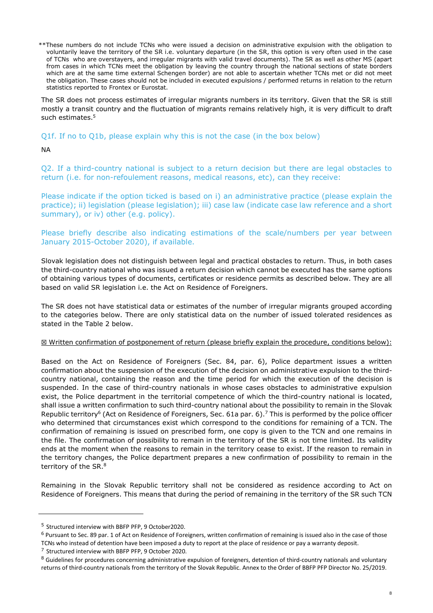\*\*These numbers do not include TCNs who were issued a decision on administrative expulsion with the obligation to voluntarily leave the territory of the SR i.e. voluntary departure (in the SR, this option is very often used in the case of TCNs who are overstayers, and irregular migrants with valid travel documents). The SR as well as other MS (apart from cases in which TCNs meet the obligation by leaving the country through the national sections of state borders which are at the same time external Schengen border) are not able to ascertain whether TCNs met or did not meet the obligation. These cases should not be included in executed expulsions / performed returns in relation to the return statistics reported to Frontex or Eurostat.

The SR does not process estimates of irregular migrants numbers in its territory. Given that the SR is still mostly a transit country and the fluctuation of migrants remains relatively high, it is very difficult to draft such estimates.<sup>5</sup>

Q1f. If no to Q1b, please explain why this is not the case (in the box below)

NA

Q2. If a third-country national is subject to a return decision but there are legal obstacles to return (i.e. for non-refoulement reasons, medical reasons, etc), can they receive:

Please indicate if the option ticked is based on i) an administrative practice (please explain the practice); ii) legislation (please legislation); iii) case law (indicate case law reference and a short summary), or iv) other (e.g. policy).

Please briefly describe also indicating estimations of the scale/numbers per year between January 2015-October 2020), if available.

Slovak legislation does not distinguish between legal and practical obstacles to return. Thus, in both cases the third-country national who was issued a return decision which cannot be executed has the same options of obtaining various types of documents, certificates or residence permits as described below. They are all based on valid SR legislation i.e. the Act on Residence of Foreigners.

The SR does not have statistical data or estimates of the number of irregular migrants grouped according to the categories below. There are only statistical data on the number of issued tolerated residences as stated in the Table 2 below.

#### ☒ Written confirmation of postponement of return (please briefly explain the procedure, conditions below):

Based on the Act on Residence of Foreigners (Sec. 84, par. 6), Police department issues a written confirmation about the suspension of the execution of the decision on administrative expulsion to the thirdcountry national, containing the reason and the time period for which the execution of the decision is suspended. In the case of third-country nationals in whose cases obstacles to administrative expulsion exist, the Police department in the territorial competence of which the third-country national is located, shall issue a written confirmation to such third-country national about the possibility to remain in the Slovak Republic territory<sup>6</sup> (Act on Residence of Foreigners, Sec. 61a par. 6).<sup>7</sup> This is performed by the police officer who determined that circumstances exist which correspond to the conditions for remaining of a TCN. The confirmation of remaining is issued on prescribed form, one copy is given to the TCN and one remains in the file. The confirmation of possibility to remain in the territory of the SR is not time limited. Its validity ends at the moment when the reasons to remain in the territory cease to exist. If the reason to remain in the territory changes, the Police department prepares a new confirmation of possibility to remain in the territory of the SR. $^8$ 

Remaining in the Slovak Republic territory shall not be considered as residence according to Act on Residence of Foreigners. This means that during the period of remaining in the territory of the SR such TCN

<sup>6</sup> Pursuant to Sec. 89 par. 1 of Act on Residence of Foreigners, written confirmation of remaining is issued also in the case of those TCNs who instead of detention have been imposed a duty to report at the place of residence or pay a warranty deposit.

<sup>7</sup> Structured interview with BBFP PFP, 9 October 2020.

<sup>5</sup> Structured interview with BBFP PFP, 9 October2020.

<sup>&</sup>lt;sup>8</sup> Guidelines for procedures concerning administrative expulsion of foreigners, detention of third-country nationals and voluntary returns of third-country nationals from the territory of the Slovak Republic. Annex to the Order of BBFP PFP Director No. 25/2019.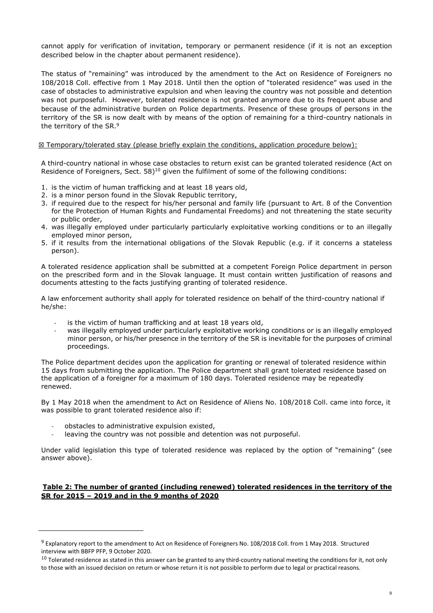cannot apply for verification of invitation, temporary or permanent residence (if it is not an exception described below in the chapter about permanent residence).

The status of "remaining" was introduced by the amendment to the Act on Residence of Foreigners no 108/2018 Coll. effective from 1 May 2018. Until then the option of "tolerated residence" was used in the case of obstacles to administrative expulsion and when leaving the country was not possible and detention was not purposeful. However, tolerated residence is not granted anymore due to its frequent abuse and because of the administrative burden on Police departments. Presence of these groups of persons in the territory of the SR is now dealt with by means of the option of remaining for a third-country nationals in the territory of the SR.<sup>9</sup>

#### $\boxtimes$  Temporary/tolerated stay (please briefly explain the conditions, application procedure below):

A third-country national in whose case obstacles to return exist can be granted tolerated residence (Act on Residence of Foreigners, Sect. 58)<sup>10</sup> given the fulfilment of some of the following conditions:

- 1. is the victim of human trafficking and at least 18 years old,
- 2. is a minor person found in the Slovak Republic territory,
- 3. if required due to the respect for his/her personal and family life (pursuant to Art. 8 of the Convention for the Protection of Human Rights and Fundamental Freedoms) and not threatening the state security or public order,
- 4. was illegally employed under particularly particularly exploitative working conditions or to an illegally employed minor person,
- 5. if it results from the international obligations of the Slovak Republic (e.g. if it concerns a stateless person).

A tolerated residence application shall be submitted at a competent Foreign Police department in person on the prescribed form and in the Slovak language. It must contain written justification of reasons and documents attesting to the facts justifying granting of tolerated residence.

A law enforcement authority shall apply for tolerated residence on behalf of the third-country national if he/she:

- is the victim of human trafficking and at least 18 years old,
- was illegally employed under particularly exploitative working conditions or is an illegally employed minor person, or his/her presence in the territory of the SR is inevitable for the purposes of criminal proceedings.

The Police department decides upon the application for granting or renewal of tolerated residence within 15 days from submitting the application. The Police department shall grant tolerated residence based on the application of a foreigner for a maximum of 180 days. Tolerated residence may be repeatedly renewed.

By 1 May 2018 when the amendment to Act on Residence of Aliens No. 108/2018 Coll. came into force, it was possible to grant tolerated residence also if:

- obstacles to administrative expulsion existed,
- leaving the country was not possible and detention was not purposeful.

Under valid legislation this type of tolerated residence was replaced by the option of "remaining" (see answer above).

#### **Table 2: The number of granted (including renewed) tolerated residences in the territory of the SR for 2015 – 2019 and in the 9 months of 2020**

<sup>&</sup>lt;sup>9</sup> Explanatory report to the amendment to Act on Residence of Foreigners No. 108/2018 Coll. from 1 May 2018. Structured interview with BBFP PFP, 9 October 2020.

 $10$  Tolerated residence as stated in this answer can be granted to any third-country national meeting the conditions for it, not only to those with an issued decision on return or whose return it is not possible to perform due to legal or practical reasons.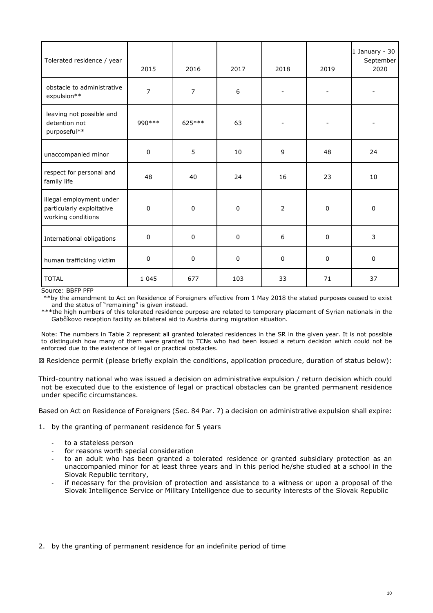| Tolerated residence / year                                                  | 2015           | 2016           | 2017 | 2018                     | 2019        | 1 January - 30<br>September<br>2020 |
|-----------------------------------------------------------------------------|----------------|----------------|------|--------------------------|-------------|-------------------------------------|
| obstacle to administrative<br>expulsion**                                   | $\overline{7}$ | $\overline{7}$ | 6    | $\overline{\phantom{a}}$ |             |                                     |
| leaving not possible and<br>detention not<br>purposeful**                   | 990 ***        | 625 ***        | 63   | $\overline{\phantom{m}}$ |             |                                     |
| unaccompanied minor                                                         | $\pmb{0}$      | 5              | 10   | 9                        | 48          | 24                                  |
| respect for personal and<br>family life                                     | 48             | 40             | 24   | 16                       | 23          | 10                                  |
| illegal employment under<br>particularly exploitative<br>working conditions | 0              | $\mathbf 0$    | 0    | $\overline{2}$           | $\mathbf 0$ | $\mathbf 0$                         |
| International obligations                                                   | $\pmb{0}$      | $\mathbf{0}$   | 0    | 6                        | $\mathbf 0$ | 3                                   |
| human trafficking victim                                                    | $\pmb{0}$      | $\mathbf 0$    | 0    | $\pmb{0}$                | $\mathbf 0$ | $\mathbf 0$                         |
| <b>TOTAL</b>                                                                | 1 0 4 5        | 677            | 103  | 33                       | 71          | 37                                  |

Source: BBFP PFP

 \*\*by the amendment to Act on Residence of Foreigners effective from 1 May 2018 the stated purposes ceased to exist and the status of "remaining" is given instead.

\*\*\*the high numbers of this tolerated residence purpose are related to temporary placement of Syrian nationals in the Gabčíkovo reception facility as bilateral aid to Austria during migration situation.

Note: The numbers in Table 2 represent all granted tolerated residences in the SR in the given year. It is not possible to distinguish how many of them were granted to TCNs who had been issued a return decision which could not be enforced due to the existence of legal or practical obstacles.

☒ Residence permit (please briefly explain the conditions, application procedure, duration of status below):

Third-country national who was issued a decision on administrative expulsion / return decision which could not be executed due to the existence of legal or practical obstacles can be granted permanent residence under specific circumstances.

Based on Act on Residence of Foreigners (Sec. 84 Par. 7) a decision on administrative expulsion shall expire:

- 1. by the granting of permanent residence for 5 years
	- to a stateless person
	- for reasons worth special consideration
	- to an adult who has been granted a tolerated residence or granted subsidiary protection as an unaccompanied minor for at least three years and in this period he/she studied at a school in the Slovak Republic territory,
	- if necessary for the provision of protection and assistance to a witness or upon a proposal of the Slovak Intelligence Service or Military Intelligence due to security interests of the Slovak Republic

2. by the granting of permanent residence for an indefinite period of time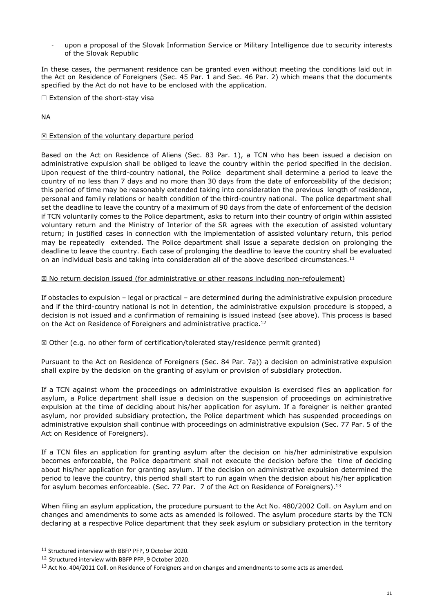upon a proposal of the Slovak Information Service or Military Intelligence due to security interests of the Slovak Republic

In these cases, the permanent residence can be granted even without meeting the conditions laid out in the Act on Residence of Foreigners (Sec. 45 Par. 1 and Sec. 46 Par. 2) which means that the documents specified by the Act do not have to be enclosed with the application.

☐ Extension of the short-stay visa

NA

#### **⊠ Extension of the voluntary departure period**

Based on the Act on Residence of Aliens (Sec. 83 Par. 1), a TCN who has been issued a decision on administrative expulsion shall be obliged to leave the country within the period specified in the decision. Upon request of the third-country national, the Police department shall determine a period to leave the country of no less than 7 days and no more than 30 days from the date of enforceability of the decision; this period of time may be reasonably extended taking into consideration the previous length of residence, personal and family relations or health condition of the third-country national. The police department shall set the deadline to leave the country of a maximum of 90 days from the date of enforcement of the decision if TCN voluntarily comes to the Police department, asks to return into their country of origin within assisted voluntary return and the Ministry of Interior of the SR agrees with the execution of assisted voluntary return; in justified cases in connection with the implementation of assisted voluntary return, this period may be repeatedly extended. The Police department shall issue a separate decision on prolonging the deadline to leave the country. Each case of prolonging the deadline to leave the country shall be evaluated on an individual basis and taking into consideration all of the above described circumstances.<sup>11</sup>

#### ☒ No return decision issued (for administrative or other reasons including non-refoulement)

If obstacles to expulsion – legal or practical – are determined during the administrative expulsion procedure and if the third-country national is not in detention, the administrative expulsion procedure is stopped, a decision is not issued and a confirmation of remaining is issued instead (see above). This process is based on the Act on Residence of Foreigners and administrative practice.<sup>12</sup>

#### ☒ Other (e.g. no other form of certification/tolerated stay/residence permit granted)

Pursuant to the Act on Residence of Foreigners (Sec. 84 Par. 7a)) a decision on administrative expulsion shall expire by the decision on the granting of asylum or provision of subsidiary protection.

If a TCN against whom the proceedings on administrative expulsion is exercised files an application for asylum, a Police department shall issue a decision on the suspension of proceedings on administrative expulsion at the time of deciding about his/her application for asylum. If a foreigner is neither granted asylum, nor provided subsidiary protection, the Police department which has suspended proceedings on administrative expulsion shall continue with proceedings on administrative expulsion (Sec. 77 Par. 5 of the Act on Residence of Foreigners).

If a TCN files an application for granting asylum after the decision on his/her administrative expulsion becomes enforceable, the Police department shall not execute the decision before the time of deciding about his/her application for granting asylum. If the decision on administrative expulsion determined the period to leave the country, this period shall start to run again when the decision about his/her application for asylum becomes enforceable. (Sec. 77 Par. 7 of the Act on Residence of Foreigners).<sup>13</sup>

When filing an asylum application, the procedure pursuant to the Act No. 480/2002 Coll. on Asylum and on changes and amendments to some acts as amended is followed. The asylum procedure starts by the TCN declaring at a respective Police department that they seek asylum or subsidiary protection in the territory

<sup>11</sup> Structured interview with BBFP PFP, 9 October 2020.

<sup>&</sup>lt;sup>12</sup> Structured interview with BBFP PFP, 9 October 2020.

<sup>&</sup>lt;sup>13</sup> Act No. 404/2011 Coll. on Residence of Foreigners and on changes and amendments to some acts as amended.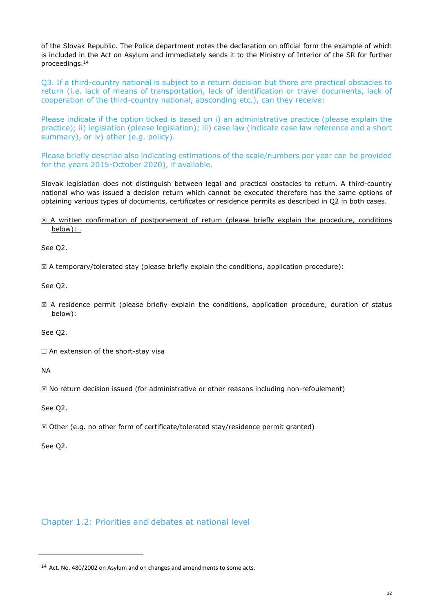of the Slovak Republic. The Police department notes the declaration on official form the example of which is included in the Act on Asylum and immediately sends it to the Ministry of Interior of the SR for further proceedings. $^{14}$ 

Q3. If a third-country national is subject to a return decision but there are practical obstacles to return (i.e. lack of means of transportation, lack of identification or travel documents, lack of cooperation of the third-country national, absconding etc.), can they receive:

Please indicate if the option ticked is based on i) an administrative practice (please explain the practice); ii) legislation (please legislation); iii) case law (indicate case law reference and a short summary), or iv) other (e.g. policy).

Please briefly describe also indicating estimations of the scale/numbers per year can be provided for the years 2015-October 2020), if available.

Slovak legislation does not distinguish between legal and practical obstacles to return. A third-country national who was issued a decision return which cannot be executed therefore has the same options of obtaining various types of documents, certificates or residence permits as described in Q2 in both cases.

#### ☒ A written confirmation of postponement of return (please briefly explain the procedure, conditions below): .

See Q2.

 $\boxtimes$  A temporary/tolerated stay (please briefly explain the conditions, application procedure):

See Q2.

 $\boxtimes$  A residence permit (please briefly explain the conditions, application procedure, duration of status below):

See Q2.

□ An extension of the short-stay visa

NA

☒ No return decision issued (for administrative or other reasons including non-refoulement)

See Q2.

☒ Other (e.g. no other form of certificate/tolerated stay/residence permit granted)

See Q2.

## Chapter 1.2: Priorities and debates at national level

<sup>&</sup>lt;sup>14</sup> Act. No. 480/2002 on Asylum and on changes and amendments to some acts.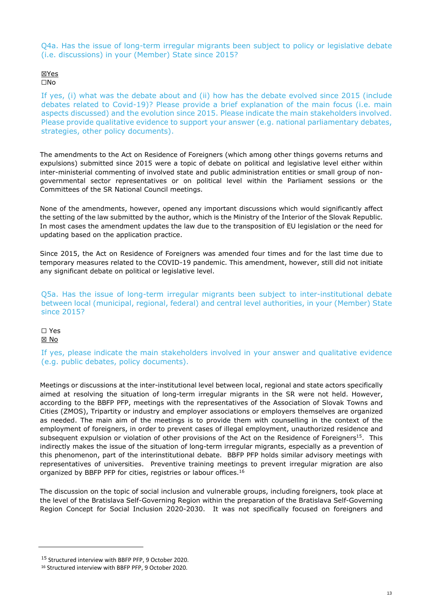Q4a. Has the issue of long-term irregular migrants been subject to policy or legislative debate (i.e. discussions) in your (Member) State since 2015?

#### ☒Yes ☐No

If yes, (i) what was the debate about and (ii) how has the debate evolved since 2015 (include debates related to Covid-19)? Please provide a brief explanation of the main focus (i.e. main aspects discussed) and the evolution since 2015. Please indicate the main stakeholders involved. Please provide qualitative evidence to support your answer (e.g. national parliamentary debates, strategies, other policy documents).

The amendments to the Act on Residence of Foreigners (which among other things governs returns and expulsions) submitted since 2015 were a topic of debate on political and legislative level either within inter-ministerial commenting of involved state and public administration entities or small group of nongovernmental sector representatives or on political level within the Parliament sessions or the Committees of the SR National Council meetings.

None of the amendments, however, opened any important discussions which would significantly affect the setting of the law submitted by the author, which is the Ministry of the Interior of the Slovak Republic. In most cases the amendment updates the law due to the transposition of EU legislation or the need for updating based on the application practice.

Since 2015, the Act on Residence of Foreigners was amended four times and for the last time due to temporary measures related to the COVID-19 pandemic. This amendment, however, still did not initiate any significant debate on political or legislative level.

Q5a. Has the issue of long-term irregular migrants been subject to inter-institutional debate between local (municipal, regional, federal) and central level authorities, in your (Member) State since 2015?

#### ☐ Yes ☒ No

If yes, please indicate the main stakeholders involved in your answer and qualitative evidence (e.g. public debates, policy documents).

Meetings or discussions at the inter-institutional level between local, regional and state actors specifically aimed at resolving the situation of long-term irregular migrants in the SR were not held. However, according to the BBFP PFP, meetings with the representatives of the Association of Slovak Towns and Cities (ZMOS), Tripartity or industry and employer associations or employers themselves are organized as needed. The main aim of the meetings is to provide them with counselling in the context of the employment of foreigners, in order to prevent cases of illegal employment, unauthorized residence and subsequent expulsion or violation of other provisions of the Act on the Residence of Foreigners<sup>15</sup>. This indirectly makes the issue of the situation of long-term irregular migrants, especially as a prevention of this phenomenon, part of the interinstitutional debate. BBFP PFP holds similar advisory meetings with representatives of universities. Preventive training meetings to prevent irregular migration are also organized by BBFP PFP for cities, registries or labour offices.<sup>16</sup>

The discussion on the topic of social inclusion and vulnerable groups, including foreigners, took place at the level of the Bratislava Self-Governing Region within the preparation of the Bratislava Self-Governing Region Concept for Social Inclusion 2020-2030. It was not specifically focused on foreigners and

<sup>15</sup> Structured interview with BBFP PFP, 9 October 2020.

<sup>16</sup> Structured interview with BBFP PFP, 9 October 2020.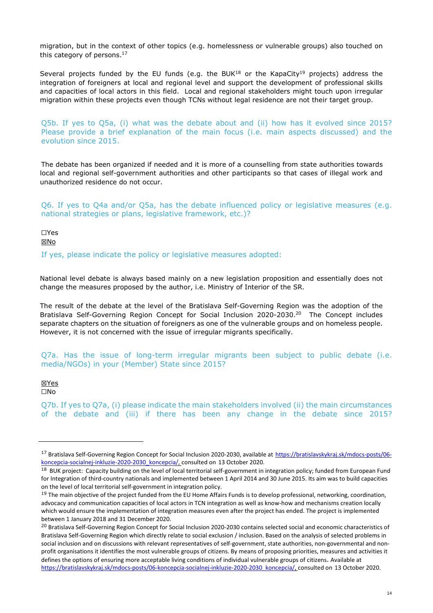migration, but in the context of other topics (e.g. homelessness or vulnerable groups) also touched on this category of persons.<sup>17</sup>

Several projects funded by the EU funds (e.g. the BUK<sup>18</sup> or the KapaCity<sup>19</sup> projects) address the integration of foreigners at local and regional level and support the development of professional skills and capacities of local actors in this field. Local and regional stakeholders might touch upon irregular migration within these projects even though TCNs without legal residence are not their target group.

Q5b. If yes to Q5a, (i) what was the debate about and (ii) how has it evolved since 2015? Please provide a brief explanation of the main focus (i.e. main aspects discussed) and the evolution since 2015.

The debate has been organized if needed and it is more of a counselling from state authorities towards local and regional self-government authorities and other participants so that cases of illegal work and unauthorized residence do not occur.

Q6. If yes to Q4a and/or Q5a, has the debate influenced policy or legislative measures (e.g. national strategies or plans, legislative framework, etc.)?

☐Yes ☒No

If yes, please indicate the policy or legislative measures adopted:

National level debate is always based mainly on a new legislation proposition and essentially does not change the measures proposed by the author, i.e. Ministry of Interior of the SR.

The result of the debate at the level of the Bratislava Self-Governing Region was the adoption of the Bratislava Self-Governing Region Concept for Social Inclusion 2020-2030.<sup>20</sup> The Concept includes separate chapters on the situation of foreigners as one of the vulnerable groups and on homeless people. However, it is not concerned with the issue of irregular migrants specifically.

Q7a. Has the issue of long-term irregular migrants been subject to public debate (i.e. media/NGOs) in your (Member) State since 2015?

☒Yes ☐No

Q7b. If yes to Q7a, (i) please indicate the main stakeholders involved (ii) the main circumstances of the debate and (iii) if there has been any change in the debate since 2015?

<sup>17</sup> Bratislava Self-Governing Region Concept for Social Inclusion 2020-2030, available at https://bratislavskykraj.sk/mdocs-posts/06 koncepcia-socialnej-inkluzie-2020-2030\_koncepcia/, consulted on 13 October 2020.

<sup>&</sup>lt;sup>18</sup> BUK proiect: Capacity building on the level of local territorial self-government in integration policy; funded from European Fund for Integration of third-country nationals and implemented between 1 April 2014 and 30 June 2015. Its aim was to build capacities on the level of local territorial self-government in integration policy.

 $19$  The main objective of the project funded from the EU Home Affairs Funds is to develop professional, networking, coordination, advocacy and communication capacities of local actors in TCN integration as well as know-how and mechanisms creation locally which would ensure the implementation of integration measures even after the project has ended. The project is implemented between 1 January 2018 and 31 December 2020.

<sup>&</sup>lt;sup>20</sup> Bratislava Self-Governing Region Concept for Social Inclusion 2020-2030 contains selected social and economic characteristics of Bratislava Self-Governing Region which directly relate to social exclusion / inclusion. Based on the analysis of selected problems in social inclusion and on discussions with relevant representatives of self-government, state authorities, non-governmental and nonprofit organisations it identifies the most vulnerable groups of citizens. By means of proposing priorities, measures and activities it defines the options of ensuring more acceptable living conditions of individual vulnerable groups of citizens. Available at https://bratislavskykraj.sk/mdocs-posts/06-koncepcia-socialnej-inkluzie-2020-2030\_koncepcia/, consulted on 13 October 2020.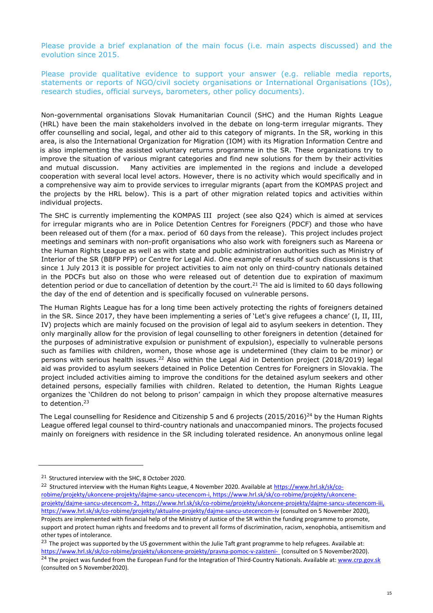Please provide a brief explanation of the main focus (i.e. main aspects discussed) and the evolution since 2015.

Please provide qualitative evidence to support your answer (e.g. reliable media reports, statements or reports of NGO/civil society organisations or International Organisations (IOs), research studies, official surveys, barometers, other policy documents).

Non-governmental organisations Slovak Humanitarian Council (SHC) and the Human Rights League (HRL) have been the main stakeholders involved in the debate on long-term irregular migrants. They offer counselling and social, legal, and other aid to this category of migrants. In the SR, working in this area, is also the International Organization for Migration (IOM) with its Migration Information Centre and is also implementing the assisted voluntary returns programme in the SR. These organizations try to improve the situation of various migrant categories and find new solutions for them by their activities and mutual discussion. Many activities are implemented in the regions and include a developed cooperation with several local level actors. However, there is no activity which would specifically and in a comprehensive way aim to provide services to irregular migrants (apart from the KOMPAS project and the projects by the HRL below). This is a part of other migration related topics and activities within individual projects.

The SHC is currently implementing the KOMPAS III project (see also Q24) which is aimed at services for irregular migrants who are in Police Detention Centres for Foreigners (PDCF) and those who have been released out of them (for a max. period of 60 days from the release). This project includes project meetings and seminars with non-profit organisations who also work with foreigners such as Mareena or the Human Rights League as well as with state and public administration authorities such as Ministry of Interior of the SR (BBFP PFP) or Centre for Legal Aid. One example of results of such discussions is that since 1 July 2013 it is possible for project activities to aim not only on third-country nationals detained in the PDCFs but also on those who were released out of detention due to expiration of maximum detention period or due to cancellation of detention by the court.<sup>21</sup> The aid is limited to 60 days following the day of the end of detention and is specifically focused on vulnerable persons.

The Human Rights League has for a long time been actively protecting the rights of foreigners detained in the SR. Since 2017, they have been implementing a series of 'Let's give refugees a chance' (I, II, III, IV) projects which are mainly focused on the provision of legal aid to asylum seekers in detention. They only marginally allow for the provision of legal counselling to other foreigners in detention (detained for the purposes of administrative expulsion or punishment of expulsion), especially to vulnerable persons such as families with children, women, those whose age is undetermined (they claim to be minor) or persons with serious health issues.<sup>22</sup> Also within the Legal Aid in Detention project (2018/2019) legal aid was provided to asylum seekers detained in Police Detention Centres for Foreigners in Slovakia. The project included activities aiming to improve the conditions for the detained asylum seekers and other detained persons, especially families with children. Related to detention, the Human Rights League organizes the 'Children do not belong to prison' campaign in which they propose alternative measures to detention.<sup>23</sup>

The Legal counselling for Residence and Citizenship 5 and 6 projects (2015/2016)<sup>24</sup> by the Human Rights League offered legal counsel to third-country nationals and unaccompanied minors. The projects focused mainly on foreigners with residence in the SR including tolerated residence. An anonymous online legal

<sup>&</sup>lt;sup>21</sup> Structured interview with the SHC, 8 October 2020.

<sup>&</sup>lt;sup>22</sup> Structured interview with the Human Rights League, 4 November 2020. Available at https://www.hrl.sk/sk/corobime/projekty/ukoncene-projekty/dajme-sancu-utecencom-i, https://www.hrl.sk/sk/co-robime/projekty/ukonceneprojekty/dajme-sancu-utecencom-2, https://www.hrl.sk/sk/co-robime/projekty/ukoncene-projekty/dajme-sancu-utecencom-iii, https://www.hrl.sk/sk/co-robime/projekty/aktualne-projekty/dajme-sancu-utecencom-iv (consulted on 5 November 2020), Projects are implemented with financial help of the Ministry of Justice of the SR within the funding programme to promote, support and protect human rights and freedoms and to prevent all forms of discrimination, racism, xenophobia, antisemitism and other types of intolerance.

<sup>&</sup>lt;sup>23</sup> The project was supported by the US government within the Julie Taft grant programme to help refugees. Available at: https://www.hrl.sk/sk/co-robime/projekty/ukoncene-projekty/pravna-pomoc-v-zaisteni- (consulted on 5 November2020). <sup>24</sup> The project was funded from the European Fund for the Integration of Third-Country Nationals. Available at: www.crp.gov.sk

<sup>(</sup>consulted on 5 November2020).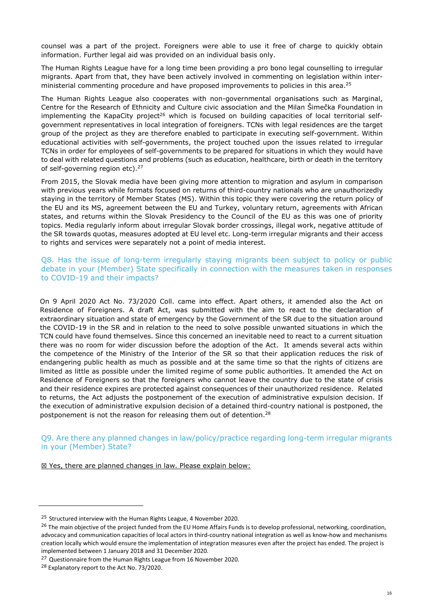counsel was a part of the project. Foreigners were able to use it free of charge to quickly obtain information. Further legal aid was provided on an individual basis only.

The Human Rights League have for a long time been providing a pro bono legal counselling to irregular migrants. Apart from that, they have been actively involved in commenting on legislation within interministerial commenting procedure and have proposed improvements to policies in this area.<sup>25</sup>

The Human Rights League also cooperates with non-governmental organisations such as Marginal, Centre for the Research of Ethnicity and Culture civic association and the Milan Šimečka Foundation in implementing the KapaCity project<sup>26</sup> which is focused on building capacities of local territorial selfgovernment representatives in local integration of foreigners. TCNs with legal residences are the target group of the project as they are therefore enabled to participate in executing self-government. Within educational activities with self-governments, the project touched upon the issues related to irregular TCNs in order for employees of self-governments to be prepared for situations in which they would have to deal with related questions and problems (such as education, healthcare, birth or death in the territory of self-governing region etc).<sup>27</sup>

From 2015, the Slovak media have been giving more attention to migration and asylum in comparison with previous years while formats focused on returns of third-country nationals who are unauthorizedly staying in the territory of Member States (MS). Within this topic they were covering the return policy of the EU and its MS, agreement between the EU and Turkey, voluntary return, agreements with African states, and returns within the Slovak Presidency to the Council of the EU as this was one of priority topics. Media regularly inform about irregular Slovak border crossings, illegal work, negative attitude of the SR towards quotas, measures adopted at EU level etc. Long-term irregular migrants and their access to rights and services were separately not a point of media interest.

Q8. Has the issue of long-term irregularly staying migrants been subject to policy or public debate in your (Member) State specifically in connection with the measures taken in responses to COVID-19 and their impacts?

On 9 April 2020 Act No. 73/2020 Coll. came into effect. Apart others, it amended also the Act on Residence of Foreigners. A draft Act, was submitted with the aim to react to the declaration of extraordinary situation and state of emergency by the Government of the SR due to the situation around the COVID-19 in the SR and in relation to the need to solve possible unwanted situations in which the TCN could have found themselves. Since this concerned an inevitable need to react to a current situation there was no room for wider discussion before the adoption of the Act. It amends several acts within the competence of the Ministry of the Interior of the SR so that their application reduces the risk of endangering public health as much as possible and at the same time so that the rights of citizens are limited as little as possible under the limited regime of some public authorities. It amended the Act on Residence of Foreigners so that the foreigners who cannot leave the country due to the state of crisis and their residence expires are protected against consequences of their unauthorized residence. Related to returns, the Act adjusts the postponement of the execution of administrative expulsion decision. If the execution of administrative expulsion decision of a detained third-country national is postponed, the postponement is not the reason for releasing them out of detention.<sup>28</sup>

Q9. Are there any planned changes in law/policy/practice regarding long-term irregular migrants in your (Member) State?

⊠ Yes, there are planned changes in law. Please explain below:

<sup>&</sup>lt;sup>25</sup> Structured interview with the Human Rights League, 4 November 2020.

<sup>&</sup>lt;sup>26</sup> The main objective of the project funded from the EU Home Affairs Funds is to develop professional, networking, coordination, advocacy and communication capacities of local actors in third-country national integration as well as know-how and mechanisms creation locally which would ensure the implementation of integration measures even after the project has ended. The project is implemented between 1 January 2018 and 31 December 2020.

<sup>&</sup>lt;sup>27</sup> Questionnaire from the Human Rights League from 16 November 2020.

<sup>&</sup>lt;sup>28</sup> Explanatory report to the Act No. 73/2020.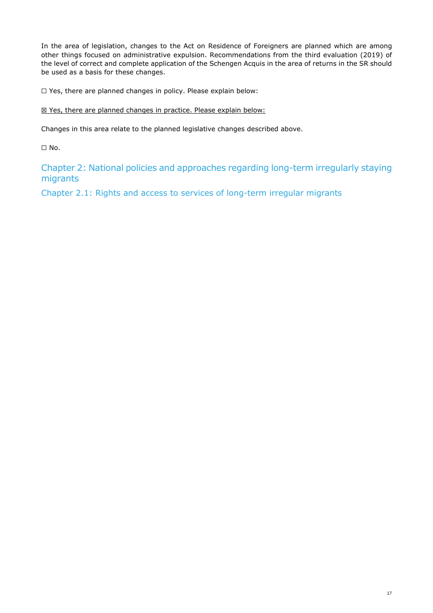In the area of legislation, changes to the Act on Residence of Foreigners are planned which are among other things focused on administrative expulsion. Recommendations from the third evaluation (2019) of the level of correct and complete application of the Schengen Acquis in the area of returns in the SR should be used as a basis for these changes.

☐ Yes, there are planned changes in policy. Please explain below:

### ⊠ Yes, there are planned changes in practice. Please explain below:

Changes in this area relate to the planned legislative changes described above.

 $\Box$  No.

Chapter 2: National policies and approaches regarding long-term irregularly staying migrants

Chapter 2.1: Rights and access to services of long-term irregular migrants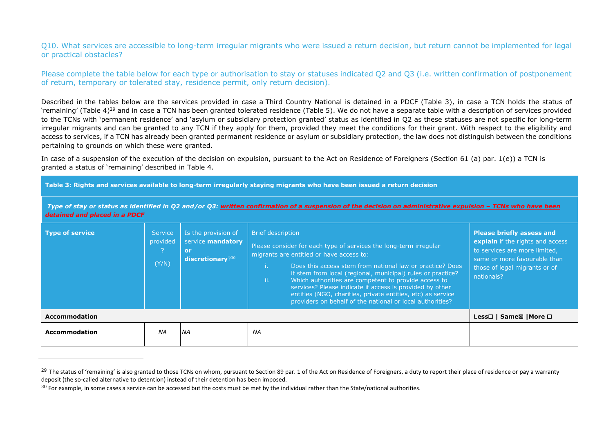Q10. What services are accessible to long-term irregular migrants who were issued a return decision, but return cannot be implemented for legal or practical obstacles?

Please complete the table below for each type or authorisation to stay or statuses indicated Q2 and Q3 (i.e. written confirmation of postponement of return, temporary or tolerated stay, residence permit, only return decision).

Described in the tables below are the services provided in case a Third Country National is detained in a PDCF (Table 3), in case a TCN holds the status of 'remaining' (Table 4)<sup>29</sup> and in case a TCN has been granted tolerated residence (Table 5). We do not have a separate table with a description of services provided to the TCNs with 'permanent residence' and 'asylum or subsidiary protection granted' status as identified in Q2 as these statuses are not specific for long-term irregular migrants and can be granted to any TCN if they apply for them, provided they meet the conditions for their grant. With respect to the eligibility and access to services, if a TCN has already been granted permanent residence or asylum or subsidiary protection, the law does not distinguish between the conditions pertaining to grounds on which these were granted.

In case of a suspension of the execution of the decision on expulsion, pursuant to the Act on Residence of Foreigners (Section 61 (a) par. 1(e)) a TCN isgranted a status of 'remaining' described in Table 4.

**Table 3: Rights and services available to long-term irregularly staying migrants who have been issued a return decision** 

*Type of stay or status as identified in Q2 and/or Q3: written confirmation of a suspension of the decision on administrative expulsion – TCNs who have been detained and placed in a PDCF* 

| <b>Type of service</b> | <b>Service</b><br>provided<br>(Y/N) | Is the provision of<br>service mandatory<br>or<br>discretionary? $30$ | <b>Brief description</b><br>Please consider for each type of services the long-term irregular<br>migrants are entitled or have access to:<br>Does this access stem from national law or practice? Does<br>it stem from local (regional, municipal) rules or practice?<br>Which authorities are competent to provide access to<br>ii.<br>services? Please indicate if access is provided by other<br>entities (NGO, charities, private entities, etc) as service<br>providers on behalf of the national or local authorities? | <b>Please briefly assess and</b><br>explain if the rights and access<br>to services are more limited,<br>same or more favourable than<br>those of legal migrants or of<br>nationals? |
|------------------------|-------------------------------------|-----------------------------------------------------------------------|------------------------------------------------------------------------------------------------------------------------------------------------------------------------------------------------------------------------------------------------------------------------------------------------------------------------------------------------------------------------------------------------------------------------------------------------------------------------------------------------------------------------------|--------------------------------------------------------------------------------------------------------------------------------------------------------------------------------------|
| <b>Accommodation</b>   |                                     |                                                                       |                                                                                                                                                                                                                                                                                                                                                                                                                                                                                                                              | Less□   Same⊠   More □                                                                                                                                                               |
| <b>Accommodation</b>   | ΝA                                  | <b>NA</b>                                                             | ΝA                                                                                                                                                                                                                                                                                                                                                                                                                                                                                                                           |                                                                                                                                                                                      |

<sup>&</sup>lt;sup>29</sup> The status of 'remaining' is also granted to those TCNs on whom, pursuant to Section 89 par. 1 of the Act on Residence of Foreigners, a duty to report their place of residence or pay a warranty deposit (the so-called alternative to detention) instead of their detention has been imposed.

 $30$  For example, in some cases a service can be accessed but the costs must be met by the individual rather than the State/national authorities.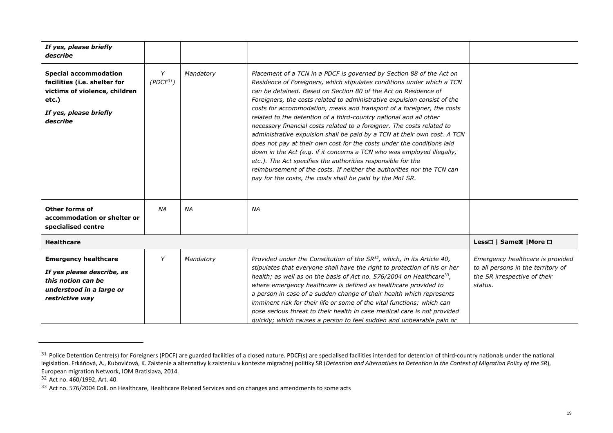| If yes, please briefly<br>describe                                                                                                              |                            |           |                                                                                                                                                                                                                                                                                                                                                                                                                                                                                                                                                                                                                                                                                                                                                                                                                                                                                                                                                                |                                                                                                                   |
|-------------------------------------------------------------------------------------------------------------------------------------------------|----------------------------|-----------|----------------------------------------------------------------------------------------------------------------------------------------------------------------------------------------------------------------------------------------------------------------------------------------------------------------------------------------------------------------------------------------------------------------------------------------------------------------------------------------------------------------------------------------------------------------------------------------------------------------------------------------------------------------------------------------------------------------------------------------------------------------------------------------------------------------------------------------------------------------------------------------------------------------------------------------------------------------|-------------------------------------------------------------------------------------------------------------------|
| <b>Special accommodation</b><br>facilities (i.e. shelter for<br>victims of violence, children<br>$etc.$ )<br>If yes, please briefly<br>describe | Y<br>(PDCF <sup>31</sup> ) | Mandatory | Placement of a TCN in a PDCF is governed by Section 88 of the Act on<br>Residence of Foreigners, which stipulates conditions under which a TCN<br>can be detained. Based on Section 80 of the Act on Residence of<br>Foreigners, the costs related to administrative expulsion consist of the<br>costs for accommodation, meals and transport of a foreigner, the costs<br>related to the detention of a third-country national and all other<br>necessary financial costs related to a foreigner. The costs related to<br>administrative expulsion shall be paid by a TCN at their own cost. A TCN<br>does not pay at their own cost for the costs under the conditions laid<br>down in the Act (e.g. if it concerns a TCN who was employed illegally,<br>etc.). The Act specifies the authorities responsible for the<br>reimbursement of the costs. If neither the authorities nor the TCN can<br>pay for the costs, the costs shall be paid by the MoI SR. |                                                                                                                   |
| Other forms of<br>accommodation or shelter or<br>specialised centre                                                                             | NA                         | <b>NA</b> | ΝA                                                                                                                                                                                                                                                                                                                                                                                                                                                                                                                                                                                                                                                                                                                                                                                                                                                                                                                                                             |                                                                                                                   |
| <b>Healthcare</b>                                                                                                                               |                            |           |                                                                                                                                                                                                                                                                                                                                                                                                                                                                                                                                                                                                                                                                                                                                                                                                                                                                                                                                                                | Less□   Same⊠   More □                                                                                            |
| <b>Emergency healthcare</b><br>If yes please describe, as<br>this notion can be<br>understood in a large or<br>restrictive way                  | Y                          | Mandatory | Provided under the Constitution of the $SR^{32}$ , which, in its Article 40,<br>stipulates that everyone shall have the right to protection of his or her<br>health; as well as on the basis of Act no. 576/2004 on Healthcare <sup>33</sup> ,<br>where emergency healthcare is defined as healthcare provided to<br>a person in case of a sudden change of their health which represents<br>imminent risk for their life or some of the vital functions; which can<br>pose serious threat to their health in case medical care is not provided<br>quickly; which causes a person to feel sudden and unbearable pain or                                                                                                                                                                                                                                                                                                                                        | Emergency healthcare is provided<br>to all persons in the territory of<br>the SR irrespective of their<br>status. |

32 Act no. 460/1992, Art. 40

 $^{31}$  Police Detention Centre(s) for Foreigners (PDCF) are guarded facilities of a closed nature. PDCF(s) are specialised facilities intended for detention of third-country nationals under the national legislation. Frkáňová, A., Kubovičová, K. Zaistenie a alternatívy k zaisteniu v kontexte migračnej politiky SR (Detention and Alternatives to Detention in the Context of Migration Policy of the SR), European migration Network, IOM Bratislava, 2014.

 $33$  Act no. 576/2004 Coll. on Healthcare, Healthcare Related Services and on changes and amendments to some acts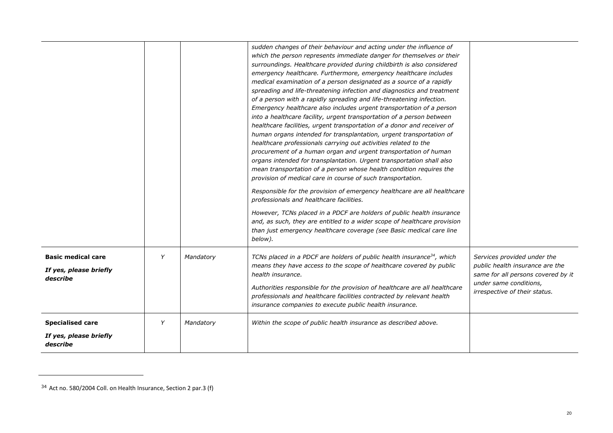|                                                                 |   |           | sudden changes of their behaviour and acting under the influence of<br>which the person represents immediate danger for themselves or their<br>surroundings. Healthcare provided during childbirth is also considered<br>emergency healthcare. Furthermore, emergency healthcare includes<br>medical examination of a person designated as a source of a rapidly<br>spreading and life-threatening infection and diagnostics and treatment<br>of a person with a rapidly spreading and life-threatening infection.<br>Emergency healthcare also includes urgent transportation of a person<br>into a healthcare facility, urgent transportation of a person between<br>healthcare facilities, urgent transportation of a donor and receiver of<br>human organs intended for transplantation, urgent transportation of<br>healthcare professionals carrying out activities related to the<br>procurement of a human organ and urgent transportation of human<br>organs intended for transplantation. Urgent transportation shall also<br>mean transportation of a person whose health condition requires the<br>provision of medical care in course of such transportation.<br>Responsible for the provision of emergency healthcare are all healthcare<br>professionals and healthcare facilities.<br>However, TCNs placed in a PDCF are holders of public health insurance<br>and, as such, they are entitled to a wider scope of healthcare provision<br>than just emergency healthcare coverage (see Basic medical care line<br>below). |                                                                                                                                                                 |
|-----------------------------------------------------------------|---|-----------|--------------------------------------------------------------------------------------------------------------------------------------------------------------------------------------------------------------------------------------------------------------------------------------------------------------------------------------------------------------------------------------------------------------------------------------------------------------------------------------------------------------------------------------------------------------------------------------------------------------------------------------------------------------------------------------------------------------------------------------------------------------------------------------------------------------------------------------------------------------------------------------------------------------------------------------------------------------------------------------------------------------------------------------------------------------------------------------------------------------------------------------------------------------------------------------------------------------------------------------------------------------------------------------------------------------------------------------------------------------------------------------------------------------------------------------------------------------------------------------------------------------------------------------------|-----------------------------------------------------------------------------------------------------------------------------------------------------------------|
| <b>Basic medical care</b><br>If yes, please briefly<br>describe | Y | Mandatory | TCNs placed in a PDCF are holders of public health insurance <sup>34</sup> , which<br>means they have access to the scope of healthcare covered by public<br>health insurance.<br>Authorities responsible for the provision of healthcare are all healthcare<br>professionals and healthcare facilities contracted by relevant health<br>insurance companies to execute public health insurance.                                                                                                                                                                                                                                                                                                                                                                                                                                                                                                                                                                                                                                                                                                                                                                                                                                                                                                                                                                                                                                                                                                                                           | Services provided under the<br>public health insurance are the<br>same for all persons covered by it<br>under same conditions,<br>irrespective of their status. |
| <b>Specialised care</b><br>If yes, please briefly<br>describe   | Y | Mandatory | Within the scope of public health insurance as described above.                                                                                                                                                                                                                                                                                                                                                                                                                                                                                                                                                                                                                                                                                                                                                                                                                                                                                                                                                                                                                                                                                                                                                                                                                                                                                                                                                                                                                                                                            |                                                                                                                                                                 |

 $34$  Act no. 580/2004 Coll. on Health Insurance, Section 2 par.3 (f)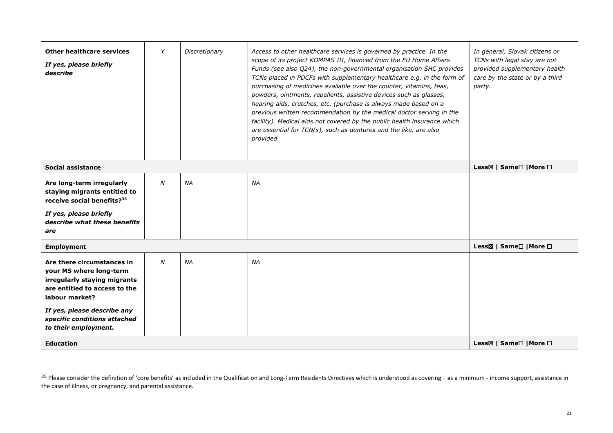| <b>Other healthcare services</b><br>If yes, please briefly<br>describe                                                                                                                                                          | Y | Discretionary | Access to other healthcare services is governed by practice. In the<br>scope of its project KOMPAS III, financed from the EU Home Affairs<br>Funds (see also Q24), the non-governmental organisation SHC provides<br>TCNs placed in PDCFs with supplementary healthcare e.g. in the form of<br>purchasing of medicines available over the counter, vitamins, teas,<br>powders, ointments, repellents, assistive devices such as glasses,<br>hearing aids, crutches, etc. (purchase is always made based on a<br>previous written recommendation by the medical doctor serving in the<br>facility). Medical aids not covered by the public health insurance which<br>are essential for TCN(s), such as dentures and the like, are also<br>provided. | In general, Slovak citizens or<br>TCNs with legal stay are not<br>provided supplementary health<br>care by the state or by a third<br>party. |
|---------------------------------------------------------------------------------------------------------------------------------------------------------------------------------------------------------------------------------|---|---------------|----------------------------------------------------------------------------------------------------------------------------------------------------------------------------------------------------------------------------------------------------------------------------------------------------------------------------------------------------------------------------------------------------------------------------------------------------------------------------------------------------------------------------------------------------------------------------------------------------------------------------------------------------------------------------------------------------------------------------------------------------|----------------------------------------------------------------------------------------------------------------------------------------------|
| Social assistance                                                                                                                                                                                                               |   |               |                                                                                                                                                                                                                                                                                                                                                                                                                                                                                                                                                                                                                                                                                                                                                    | Less⊠   Same <sup>[1</sup>   More <sup>[1]</sup>                                                                                             |
| Are long-term irregularly<br>staying migrants entitled to<br>receive social benefits? <sup>35</sup><br>If yes, please briefly<br>describe what these benefits<br>are                                                            | N | <b>NA</b>     | <b>NA</b>                                                                                                                                                                                                                                                                                                                                                                                                                                                                                                                                                                                                                                                                                                                                          |                                                                                                                                              |
| <b>Employment</b>                                                                                                                                                                                                               |   |               |                                                                                                                                                                                                                                                                                                                                                                                                                                                                                                                                                                                                                                                                                                                                                    | Less⊠   Same□   More □                                                                                                                       |
| Are there circumstances in<br>your MS where long-term<br>irregularly staying migrants<br>are entitled to access to the<br>labour market?<br>If yes, please describe any<br>specific conditions attached<br>to their employment. | N | <b>NA</b>     | <b>NA</b>                                                                                                                                                                                                                                                                                                                                                                                                                                                                                                                                                                                                                                                                                                                                          |                                                                                                                                              |
| <b>Education</b>                                                                                                                                                                                                                |   |               |                                                                                                                                                                                                                                                                                                                                                                                                                                                                                                                                                                                                                                                                                                                                                    | Less⊠   Same□   More □                                                                                                                       |

 $^{35}$  Please consider the definition of 'core benefits' as included in the Qualification and Long-Term Residents Directives which is understood as covering – as a minimum - income support, assistance in the case of illness, or pregnancy, and parental assistance.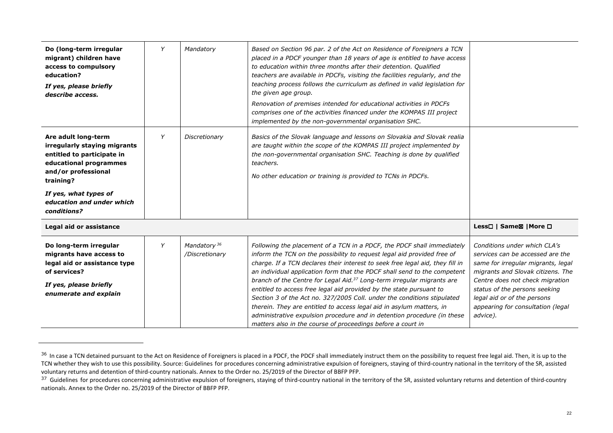| Do (long-term irregular<br>migrant) children have<br>access to compulsory<br>education?<br>If yes, please briefly<br>describe access.                                                                                | Y | Mandatory                                 | Based on Section 96 par. 2 of the Act on Residence of Foreigners a TCN<br>placed in a PDCF younger than 18 years of age is entitled to have access<br>to education within three months after their detention. Qualified<br>teachers are available in PDCFs, visiting the facilities regularly, and the<br>teaching process follows the curriculum as defined in valid legislation for<br>the given age group.<br>Renovation of premises intended for educational activities in PDCFs<br>comprises one of the activities financed under the KOMPAS III project<br>implemented by the non-governmental organisation SHC.                                                                                                                                                   |                                                                                                                                                                                                                                                                                                 |
|----------------------------------------------------------------------------------------------------------------------------------------------------------------------------------------------------------------------|---|-------------------------------------------|--------------------------------------------------------------------------------------------------------------------------------------------------------------------------------------------------------------------------------------------------------------------------------------------------------------------------------------------------------------------------------------------------------------------------------------------------------------------------------------------------------------------------------------------------------------------------------------------------------------------------------------------------------------------------------------------------------------------------------------------------------------------------|-------------------------------------------------------------------------------------------------------------------------------------------------------------------------------------------------------------------------------------------------------------------------------------------------|
| Are adult long-term<br>irregularly staying migrants<br>entitled to participate in<br>educational programmes<br>and/or professional<br>training?<br>If yes, what types of<br>education and under which<br>conditions? | Y | Discretionary                             | Basics of the Slovak language and lessons on Slovakia and Slovak realia<br>are taught within the scope of the KOMPAS III project implemented by<br>the non-governmental organisation SHC. Teaching is done by qualified<br>teachers.<br>No other education or training is provided to TCNs in PDCFs.                                                                                                                                                                                                                                                                                                                                                                                                                                                                     |                                                                                                                                                                                                                                                                                                 |
| Legal aid or assistance                                                                                                                                                                                              |   |                                           |                                                                                                                                                                                                                                                                                                                                                                                                                                                                                                                                                                                                                                                                                                                                                                          | Less□   Same⊠   More □                                                                                                                                                                                                                                                                          |
| Do long-term irregular<br>migrants have access to<br>legal aid or assistance type<br>of services?<br>If yes, please briefly<br>enumerate and explain                                                                 | Y | Mandatory <sup>36</sup><br>/Discretionary | Following the placement of a TCN in a PDCF, the PDCF shall immediately<br>inform the TCN on the possibility to request legal aid provided free of<br>charge. If a TCN declares their interest to seek free legal aid, they fill in<br>an individual application form that the PDCF shall send to the competent<br>branch of the Centre for Legal Aid. <sup>37</sup> Long-term irregular migrants are<br>entitled to access free legal aid provided by the state pursuant to<br>Section 3 of the Act no. 327/2005 Coll. under the conditions stipulated<br>therein. They are entitled to access legal aid in asylum matters, in<br>administrative expulsion procedure and in detention procedure (in these<br>matters also in the course of proceedings before a court in | Conditions under which CLA's<br>services can be accessed are the<br>same for irregular migrants, legal<br>migrants and Slovak citizens. The<br>Centre does not check migration<br>status of the persons seeking<br>legal aid or of the persons<br>appearing for consultation (legal<br>advice). |

<sup>&</sup>lt;sup>36</sup> In case a TCN detained pursuant to the Act on Residence of Foreigners is placed in a PDCF, the PDCF shall immediately instruct them on the possibility to request free legal aid. Then, it is up to the TCN whether they wish to use this possibility. Source: Guidelines for procedures concerning administrative expulsion of foreigners, staying of third-country national in the territory of the SR, assisted voluntary returns and detention of third-country nationals. Annex to the Order no. 25/2019 of the Director of BBFP PFP.

 $37$  Guidelines for procedures concerning administrative expulsion of foreigners, staying of third-country national in the territory of the SR, assisted voluntary returns and detention of third-country nationals. Annex to the Order no. 25/2019 of the Director of BBFP PFP.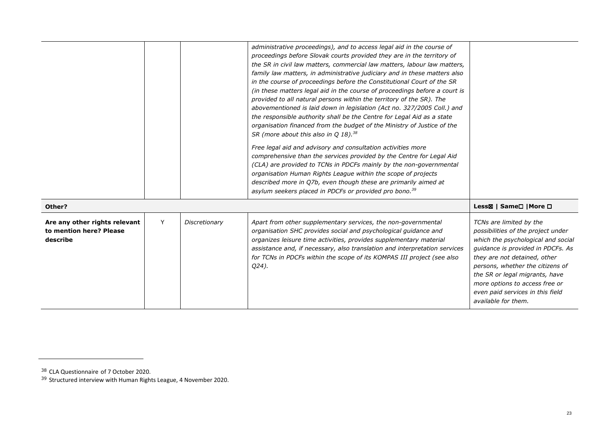|                                                                      |   |               | administrative proceedings), and to access legal aid in the course of<br>proceedings before Slovak courts provided they are in the territory of<br>the SR in civil law matters, commercial law matters, labour law matters,<br>family law matters, in administrative judiciary and in these matters also<br>in the course of proceedings before the Constitutional Court of the SR<br>(in these matters legal aid in the course of proceedings before a court is<br>provided to all natural persons within the territory of the SR). The<br>abovementioned is laid down in legislation (Act no. 327/2005 Coll.) and<br>the responsible authority shall be the Centre for Legal Aid as a state<br>organisation financed from the budget of the Ministry of Justice of the<br>SR (more about this also in Q 18). <sup>38</sup><br>Free legal aid and advisory and consultation activities more<br>comprehensive than the services provided by the Centre for Legal Aid<br>(CLA) are provided to TCNs in PDCFs mainly by the non-governmental<br>organisation Human Rights League within the scope of projects<br>described more in Q7b, even though these are primarily aimed at<br>asylum seekers placed in PDCFs or provided pro bono. <sup>39</sup> |                                                                                                                                                                                                                                                                                                                                             |
|----------------------------------------------------------------------|---|---------------|------------------------------------------------------------------------------------------------------------------------------------------------------------------------------------------------------------------------------------------------------------------------------------------------------------------------------------------------------------------------------------------------------------------------------------------------------------------------------------------------------------------------------------------------------------------------------------------------------------------------------------------------------------------------------------------------------------------------------------------------------------------------------------------------------------------------------------------------------------------------------------------------------------------------------------------------------------------------------------------------------------------------------------------------------------------------------------------------------------------------------------------------------------------------------------------------------------------------------------------------------|---------------------------------------------------------------------------------------------------------------------------------------------------------------------------------------------------------------------------------------------------------------------------------------------------------------------------------------------|
| Other?                                                               |   |               |                                                                                                                                                                                                                                                                                                                                                                                                                                                                                                                                                                                                                                                                                                                                                                                                                                                                                                                                                                                                                                                                                                                                                                                                                                                      | Less⊠   Same□   More □                                                                                                                                                                                                                                                                                                                      |
| Are any other rights relevant<br>to mention here? Please<br>describe | Y | Discretionary | Apart from other supplementary services, the non-governmental<br>organisation SHC provides social and psychological guidance and<br>organizes leisure time activities, provides supplementary material<br>assistance and, if necessary, also translation and interpretation services<br>for TCNs in PDCFs within the scope of its KOMPAS III project (see also<br>Q24).                                                                                                                                                                                                                                                                                                                                                                                                                                                                                                                                                                                                                                                                                                                                                                                                                                                                              | TCNs are limited by the<br>possibilities of the project under<br>which the psychological and social<br>guidance is provided in PDCFs. As<br>they are not detained, other<br>persons, whether the citizens of<br>the SR or legal migrants, have<br>more options to access free or<br>even paid services in this field<br>available for them. |

<sup>&</sup>lt;sup>38</sup> CLA Questionnaire of 7 October 2020.<br><sup>39</sup> Structured interview with Human Rights League, 4 November 2020.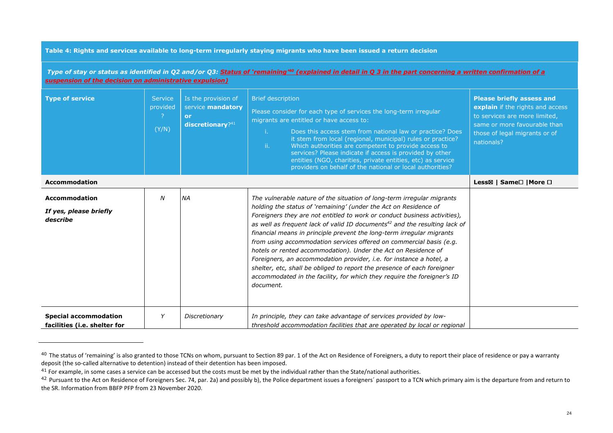#### **Table 4: Rights and services available to long-term irregularly staying migrants who have been issued a return decision**

*Type of stay or status as identified in Q2 and/or Q3: Status of 'remaining'40 (explained in detail in Q 3 in the part concerning a written confirmation of a suspension of the decision on administrative expulsion)* 

| <b>Type of service</b>                                       | <b>Service</b><br>provided<br>(Y/N) | Is the provision of<br>service mandatory<br>or<br>discretionary?41 | <b>Brief description</b><br>Please consider for each type of services the long-term irregular<br>migrants are entitled or have access to:<br>Ť.<br>Does this access stem from national law or practice? Does<br>it stem from local (regional, municipal) rules or practice?<br>ii.<br>Which authorities are competent to provide access to<br>services? Please indicate if access is provided by other<br>entities (NGO, charities, private entities, etc) as service<br>providers on behalf of the national or local authorities?                                                                                                                                                                                                                                            | <b>Please briefly assess and</b><br>explain if the rights and access<br>to services are more limited,<br>same or more favourable than<br>those of legal migrants or of<br>nationals? |
|--------------------------------------------------------------|-------------------------------------|--------------------------------------------------------------------|-------------------------------------------------------------------------------------------------------------------------------------------------------------------------------------------------------------------------------------------------------------------------------------------------------------------------------------------------------------------------------------------------------------------------------------------------------------------------------------------------------------------------------------------------------------------------------------------------------------------------------------------------------------------------------------------------------------------------------------------------------------------------------|--------------------------------------------------------------------------------------------------------------------------------------------------------------------------------------|
| <b>Accommodation</b>                                         |                                     |                                                                    |                                                                                                                                                                                                                                                                                                                                                                                                                                                                                                                                                                                                                                                                                                                                                                               | Less⊠   Same□   More □                                                                                                                                                               |
| <b>Accommodation</b><br>If yes, please briefly<br>describe   | N                                   | <b>NA</b>                                                          | The vulnerable nature of the situation of long-term irregular migrants<br>holding the status of 'remaining' (under the Act on Residence of<br>Foreigners they are not entitled to work or conduct business activities),<br>as well as frequent lack of valid ID documents <sup>42</sup> and the resulting lack of<br>financial means in principle prevent the long-term irregular migrants<br>from using accommodation services offered on commercial basis (e.g.<br>hotels or rented accommodation). Under the Act on Residence of<br>Foreigners, an accommodation provider, i.e. for instance a hotel, a<br>shelter, etc, shall be obliged to report the presence of each foreigner<br>accommodated in the facility, for which they require the foreigner's ID<br>document. |                                                                                                                                                                                      |
| <b>Special accommodation</b><br>facilities (i.e. shelter for | Y                                   | Discretionary                                                      | In principle, they can take advantage of services provided by low-<br>threshold accommodation facilities that are operated by local or regional                                                                                                                                                                                                                                                                                                                                                                                                                                                                                                                                                                                                                               |                                                                                                                                                                                      |

<sup>&</sup>lt;sup>40</sup> The status of 'remaining' is also granted to those TCNs on whom, pursuant to Section 89 par. 1 of the Act on Residence of Foreigners, a duty to report their place of residence or pay a warranty deposit (the so-called alternative to detention) instead of their detention has been imposed.

 $^{41}$  For example, in some cases a service can be accessed but the costs must be met by the individual rather than the State/national authorities.

<sup>&</sup>lt;sup>42</sup> Pursuant to the Act on Residence of Foreigners Sec. 74, par. 2a) and possibly b), the Police department issues a foreigners' passport to a TCN which primary aim is the departure from and return to the SR. Information from BBFP PFP from 23 November 2020.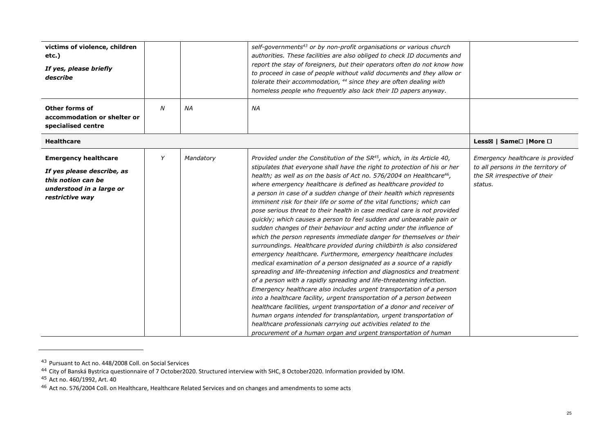| victims of violence, children<br>etc.)<br>If yes, please briefly<br>describe                                                   |                  |           | self-governments <sup>43</sup> or by non-profit organisations or various church<br>authorities. These facilities are also obliged to check ID documents and<br>report the stay of foreigners, but their operators often do not know how<br>to proceed in case of people without valid documents and they allow or<br>tolerate their accommodation, <sup>44</sup> since they are often dealing with<br>homeless people who frequently also lack their ID papers anyway.                                                                                                                                                                                                                                                                                                                                                                                                                                                                                                                                                                                                                                                                                                                                                                                                                                                                                                                                                                                                                                                                                                                        |                                                                                                                   |
|--------------------------------------------------------------------------------------------------------------------------------|------------------|-----------|-----------------------------------------------------------------------------------------------------------------------------------------------------------------------------------------------------------------------------------------------------------------------------------------------------------------------------------------------------------------------------------------------------------------------------------------------------------------------------------------------------------------------------------------------------------------------------------------------------------------------------------------------------------------------------------------------------------------------------------------------------------------------------------------------------------------------------------------------------------------------------------------------------------------------------------------------------------------------------------------------------------------------------------------------------------------------------------------------------------------------------------------------------------------------------------------------------------------------------------------------------------------------------------------------------------------------------------------------------------------------------------------------------------------------------------------------------------------------------------------------------------------------------------------------------------------------------------------------|-------------------------------------------------------------------------------------------------------------------|
| <b>Other forms of</b><br>accommodation or shelter or<br>specialised centre                                                     | $\boldsymbol{N}$ | <b>NA</b> | <b>NA</b>                                                                                                                                                                                                                                                                                                                                                                                                                                                                                                                                                                                                                                                                                                                                                                                                                                                                                                                                                                                                                                                                                                                                                                                                                                                                                                                                                                                                                                                                                                                                                                                     |                                                                                                                   |
| <b>Healthcare</b>                                                                                                              |                  |           |                                                                                                                                                                                                                                                                                                                                                                                                                                                                                                                                                                                                                                                                                                                                                                                                                                                                                                                                                                                                                                                                                                                                                                                                                                                                                                                                                                                                                                                                                                                                                                                               | Less⊠   Same <sup>[1</sup>   More <sup>[1]</sup>                                                                  |
| <b>Emergency healthcare</b><br>If yes please describe, as<br>this notion can be<br>understood in a large or<br>restrictive way | Y                | Mandatory | Provided under the Constitution of the SR <sup>45</sup> , which, in its Article 40,<br>stipulates that everyone shall have the right to protection of his or her<br>health; as well as on the basis of Act no. 576/2004 on Healthcare <sup>46</sup> ,<br>where emergency healthcare is defined as healthcare provided to<br>a person in case of a sudden change of their health which represents<br>imminent risk for their life or some of the vital functions; which can<br>pose serious threat to their health in case medical care is not provided<br>quickly; which causes a person to feel sudden and unbearable pain or<br>sudden changes of their behaviour and acting under the influence of<br>which the person represents immediate danger for themselves or their<br>surroundings. Healthcare provided during childbirth is also considered<br>emergency healthcare. Furthermore, emergency healthcare includes<br>medical examination of a person designated as a source of a rapidly<br>spreading and life-threatening infection and diagnostics and treatment<br>of a person with a rapidly spreading and life-threatening infection.<br>Emergency healthcare also includes urgent transportation of a person<br>into a healthcare facility, urgent transportation of a person between<br>healthcare facilities, urgent transportation of a donor and receiver of<br>human organs intended for transplantation, urgent transportation of<br>healthcare professionals carrying out activities related to the<br>procurement of a human organ and urgent transportation of human | Emergency healthcare is provided<br>to all persons in the territory of<br>the SR irrespective of their<br>status. |

<sup>&</sup>lt;sup>43</sup> Pursuant to Act no. 448/2008 Coll. on Social Services<br><sup>44</sup> City of Banská Bystrica questionnaire of 7 October2020. Structured interview with SHC, 8 October2020. Information provided by IOM.<br><sup>45</sup> Act no. 460/1992, Art.

<sup>&</sup>lt;sup>46</sup> Act no. 576/2004 Coll. on Healthcare, Healthcare Related Services and on changes and amendments to some acts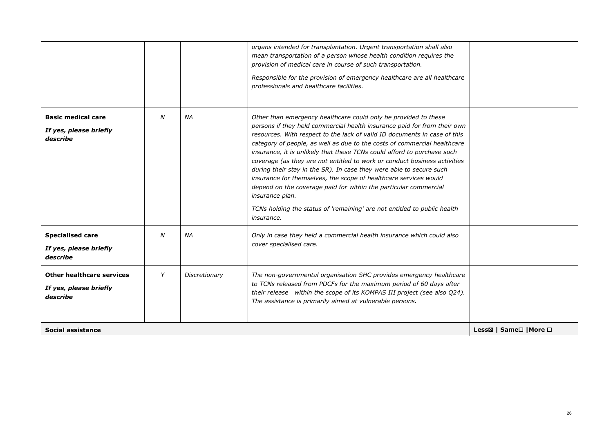|                                                                        |   |               | organs intended for transplantation. Urgent transportation shall also<br>mean transportation of a person whose health condition requires the<br>provision of medical care in course of such transportation.<br>Responsible for the provision of emergency healthcare are all healthcare<br>professionals and healthcare facilities.                                                                                                                                                                                                                                                                                                                                                                                                                                                      |                                                   |
|------------------------------------------------------------------------|---|---------------|------------------------------------------------------------------------------------------------------------------------------------------------------------------------------------------------------------------------------------------------------------------------------------------------------------------------------------------------------------------------------------------------------------------------------------------------------------------------------------------------------------------------------------------------------------------------------------------------------------------------------------------------------------------------------------------------------------------------------------------------------------------------------------------|---------------------------------------------------|
| <b>Basic medical care</b><br>If yes, please briefly<br>describe        | N | <b>NA</b>     | Other than emergency healthcare could only be provided to these<br>persons if they held commercial health insurance paid for from their own<br>resources. With respect to the lack of valid ID documents in case of this<br>category of people, as well as due to the costs of commercial healthcare<br>insurance, it is unlikely that these TCNs could afford to purchase such<br>coverage (as they are not entitled to work or conduct business activities<br>during their stay in the SR). In case they were able to secure such<br>insurance for themselves, the scope of healthcare services would<br>depend on the coverage paid for within the particular commercial<br>insurance plan.<br>TCNs holding the status of 'remaining' are not entitled to public health<br>insurance. |                                                   |
| <b>Specialised care</b><br>If yes, please briefly<br>describe          | N | ΝA            | Only in case they held a commercial health insurance which could also<br>cover specialised care.                                                                                                                                                                                                                                                                                                                                                                                                                                                                                                                                                                                                                                                                                         |                                                   |
| <b>Other healthcare services</b><br>If yes, please briefly<br>describe | Y | Discretionary | The non-governmental organisation SHC provides emergency healthcare<br>to TCNs released from PDCFs for the maximum period of 60 days after<br>their release within the scope of its KOMPAS III project (see also Q24).<br>The assistance is primarily aimed at vulnerable persons.                                                                                                                                                                                                                                                                                                                                                                                                                                                                                                       |                                                   |
| Social assistance                                                      |   |               |                                                                                                                                                                                                                                                                                                                                                                                                                                                                                                                                                                                                                                                                                                                                                                                          | Less⊠   Same <sup>[1</sup>   More <sup>[1</sup> ] |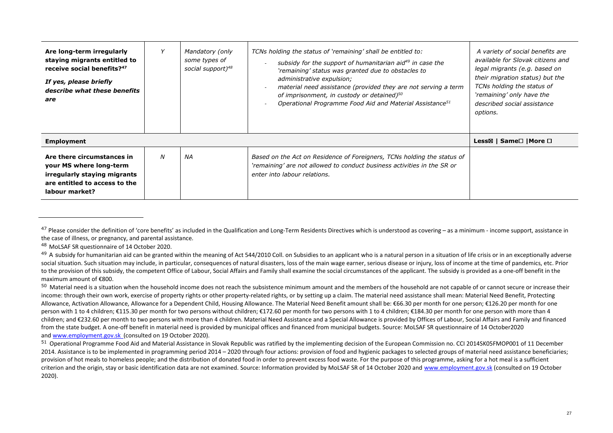| Are long-term irregularly<br>staying migrants entitled to<br>receive social benefits? <sup>47</sup><br>If yes, please briefly<br>describe what these benefits<br>are |   | Mandatory (only<br>some types of<br>social support) <sup>48</sup> | TCNs holding the status of 'remaining' shall be entitled to:<br>subsidy for the support of humanitarian aid <sup>49</sup> in case the<br>'remaining' status was granted due to obstacles to<br>administrative expulsion;<br>material need assistance (provided they are not serving a term<br>of imprisonment, in custody or detained) <sup>50</sup><br>Operational Programme Food Aid and Material Assistance <sup>51</sup> | A variety of social benefits are<br>available for Slovak citizens and<br>legal migrants (e.g. based on<br>their migration status) but the<br>TCNs holding the status of<br>'remaining' only have the<br>described social assistance<br>options. |
|----------------------------------------------------------------------------------------------------------------------------------------------------------------------|---|-------------------------------------------------------------------|------------------------------------------------------------------------------------------------------------------------------------------------------------------------------------------------------------------------------------------------------------------------------------------------------------------------------------------------------------------------------------------------------------------------------|-------------------------------------------------------------------------------------------------------------------------------------------------------------------------------------------------------------------------------------------------|
| <b>Employment</b>                                                                                                                                                    |   |                                                                   |                                                                                                                                                                                                                                                                                                                                                                                                                              | Less⊠   Same□   More □                                                                                                                                                                                                                          |
| Are there circumstances in<br>your MS where long-term<br>irregularly staying migrants<br>are entitled to access to the<br>labour market?                             | N | ΝA                                                                | Based on the Act on Residence of Foreigners, TCNs holding the status of<br>'remaining' are not allowed to conduct business activities in the SR or<br>enter into labour relations.                                                                                                                                                                                                                                           |                                                                                                                                                                                                                                                 |

 $47$  Please consider the definition of 'core benefits' as included in the Qualification and Long-Term Residents Directives which is understood as covering – as a minimum - income support, assistance in the case of illness, or pregnancy, and parental assistance.

<sup>&</sup>lt;sup>48</sup> MoLSAF SR questionnaire of 14 October 2020.

<sup>&</sup>lt;sup>49</sup> A subsidy for humanitarian aid can be granted within the meaning of Act 544/2010 Coll. on Subsidies to an applicant who is a natural person in a situation of life crisis or in an exceptionally adverse social situation. Such situation may include, in particular, consequences of natural disasters, loss of the main wage earner, serious disease or injury, loss of income at the time of pandemics, etc. Priorto the provision of this subsidy, the competent Office of Labour, Social Affairs and Family shall examine the social circumstances of the applicant. The subsidy is provided as a one-off benefit in the maximum amount of €800.

 $50$  Material need is a situation when the household income does not reach the subsistence minimum amount and the members of the household are not capable of or cannot secure or increase their income: through their own work, exercise of property rights or other property-related rights, or by setting up a claim. The material need assistance shall mean: Material Need Benefit, Protecting Allowance, Activation Allowance, Allowance for a Dependent Child, Housing Allowance. The Material Need Benefit amount shall be: €66.30 per month for one person; €126.20 per month for one person with 1 to 4 children; €115.30 per month for two persons without children; €172.60 per month for two persons with 1 to 4 children; €184.30 per month for one person with more than 4 children; and €232.60 per month to two persons with more than 4 children. Material Need Assistance and a Special Allowance is provided by Offices of Labour, Social Affairs and Family and financed from the state budget. A one-off benefit in material need is provided by municipal offices and financed from municipal budgets. Source: MoLSAF SR questionnaire of 14 October2020 and <u>www.employment.gov.sk</u> (consulted on 19 October 2020).

<sup>&</sup>lt;sup>51</sup> Operational Programme Food Aid and Material Assistance in Slovak Republic was ratified by the implementing decision of the European Commission no. CCI 2014SK05FMOP001 of 11 December 2014. Assistance is to be implemented in programming period 2014 – 2020 through four actions: provision of food and hygienic packages to selected groups of material need assistance beneficiaries; provision of hot meals to homeless people; and the distribution of donated food in order to prevent excess food waste. For the purpose of this programme, asking for a hot meal is a sufficient criterion and the origin, stay or basic identification data are not examined. Source: Information provided by MoLSAF SR of 14 October 2020 and www.employment.gov.sk (consulted on 19 October 2020).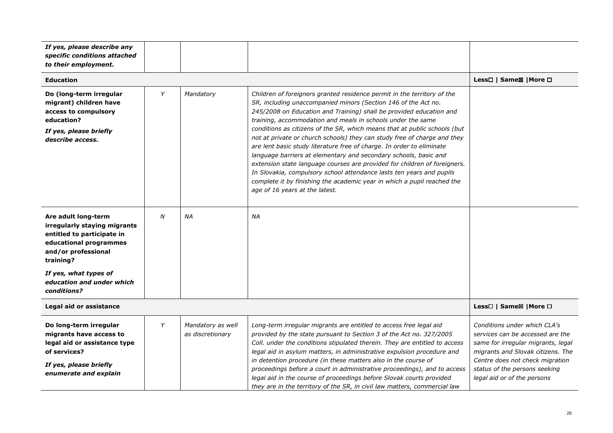| If yes, please describe any<br>specific conditions attached<br>to their employment.                                                                  |                        |                                       |                                                                                                                                                                                                                                                                                                                                                                                                                                                                                                                                                                                                                                                                                                                                                                                                                                                         |                                                                                                                                                                                                                                                |
|------------------------------------------------------------------------------------------------------------------------------------------------------|------------------------|---------------------------------------|---------------------------------------------------------------------------------------------------------------------------------------------------------------------------------------------------------------------------------------------------------------------------------------------------------------------------------------------------------------------------------------------------------------------------------------------------------------------------------------------------------------------------------------------------------------------------------------------------------------------------------------------------------------------------------------------------------------------------------------------------------------------------------------------------------------------------------------------------------|------------------------------------------------------------------------------------------------------------------------------------------------------------------------------------------------------------------------------------------------|
| <b>Education</b>                                                                                                                                     |                        |                                       |                                                                                                                                                                                                                                                                                                                                                                                                                                                                                                                                                                                                                                                                                                                                                                                                                                                         | Less□   Same⊠   More □                                                                                                                                                                                                                         |
| Do (long-term irregular<br>migrant) children have<br>access to compulsory<br>education?<br>If yes, please briefly<br>describe access.                | Y                      | Mandatory                             | Children of foreigners granted residence permit in the territory of the<br>SR, including unaccompanied minors (Section 146 of the Act no.<br>245/2008 on Education and Training) shall be provided education and<br>training, accommodation and meals in schools under the same<br>conditions as citizens of the SR, which means that at public schools (but<br>not at private or church schools) they can study free of charge and they<br>are lent basic study literature free of charge. In order to eliminate<br>language barriers at elementary and secondary schools, basic and<br>extension state language courses are provided for children of foreigners.<br>In Slovakia, compulsory school attendance lasts ten years and pupils<br>complete it by finishing the academic year in which a pupil reached the<br>age of 16 years at the latest. |                                                                                                                                                                                                                                                |
| Are adult long-term<br>irregularly staying migrants<br>entitled to participate in<br>educational programmes<br>and/or professional<br>training?      | N                      | NA                                    | ΝA                                                                                                                                                                                                                                                                                                                                                                                                                                                                                                                                                                                                                                                                                                                                                                                                                                                      |                                                                                                                                                                                                                                                |
| If yes, what types of<br>education and under which<br>conditions?                                                                                    |                        |                                       |                                                                                                                                                                                                                                                                                                                                                                                                                                                                                                                                                                                                                                                                                                                                                                                                                                                         |                                                                                                                                                                                                                                                |
| Legal aid or assistance                                                                                                                              | Less□   Same⊠   More □ |                                       |                                                                                                                                                                                                                                                                                                                                                                                                                                                                                                                                                                                                                                                                                                                                                                                                                                                         |                                                                                                                                                                                                                                                |
| Do long-term irregular<br>migrants have access to<br>legal aid or assistance type<br>of services?<br>If yes, please briefly<br>enumerate and explain | Y                      | Mandatory as well<br>as discretionary | Long-term irregular migrants are entitled to access free legal aid<br>provided by the state pursuant to Section 3 of the Act no. 327/2005<br>Coll. under the conditions stipulated therein. They are entitled to access<br>legal aid in asylum matters, in administrative expulsion procedure and<br>in detention procedure (in these matters also in the course of<br>proceedings before a court in administrative proceedings), and to access<br>legal aid in the course of proceedings before Slovak courts provided<br>they are in the territory of the SR, in civil law matters, commercial law                                                                                                                                                                                                                                                    | Conditions under which CLA's<br>services can be accessed are the<br>same for irregular migrants, legal<br>migrants and Slovak citizens. The<br>Centre does not check migration<br>status of the persons seeking<br>legal aid or of the persons |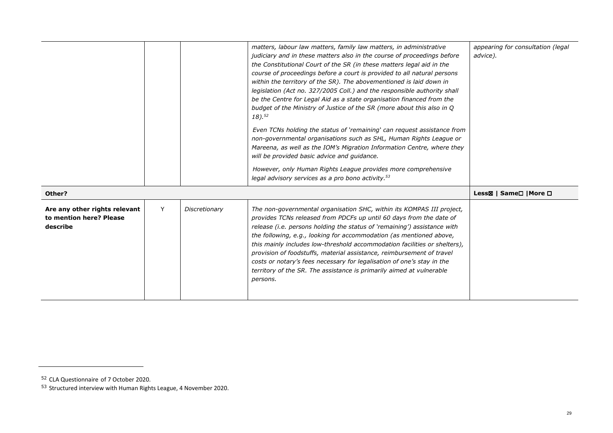|                                                                      |   |               | matters, labour law matters, family law matters, in administrative<br>judiciary and in these matters also in the course of proceedings before<br>the Constitutional Court of the SR (in these matters legal aid in the<br>course of proceedings before a court is provided to all natural persons<br>within the territory of the SR). The abovementioned is laid down in<br>legislation (Act no. 327/2005 Coll.) and the responsible authority shall<br>be the Centre for Legal Aid as a state organisation financed from the<br>budget of the Ministry of Justice of the SR (more about this also in Q<br>$18)$ . <sup>52</sup><br>Even TCNs holding the status of 'remaining' can request assistance from<br>non-governmental organisations such as SHL, Human Rights League or<br>Mareena, as well as the IOM's Migration Information Centre, where they<br>will be provided basic advice and quidance.<br>However, only Human Rights League provides more comprehensive<br>legal advisory services as a pro bono activity. <sup>53</sup> | appearing for consultation (legal<br>advice).     |
|----------------------------------------------------------------------|---|---------------|----------------------------------------------------------------------------------------------------------------------------------------------------------------------------------------------------------------------------------------------------------------------------------------------------------------------------------------------------------------------------------------------------------------------------------------------------------------------------------------------------------------------------------------------------------------------------------------------------------------------------------------------------------------------------------------------------------------------------------------------------------------------------------------------------------------------------------------------------------------------------------------------------------------------------------------------------------------------------------------------------------------------------------------------|---------------------------------------------------|
| Other?                                                               |   |               |                                                                                                                                                                                                                                                                                                                                                                                                                                                                                                                                                                                                                                                                                                                                                                                                                                                                                                                                                                                                                                              | Less⊠   Same <sup>[1</sup>   More <sup>[1</sup> ] |
| Are any other rights relevant<br>to mention here? Please<br>describe | Y | Discretionary | The non-governmental organisation SHC, within its KOMPAS III project,<br>provides TCNs released from PDCFs up until 60 days from the date of<br>release (i.e. persons holding the status of 'remaining') assistance with<br>the following, e.g., looking for accommodation (as mentioned above,<br>this mainly includes low-threshold accommodation facilities or shelters),<br>provision of foodstuffs, material assistance, reimbursement of travel<br>costs or notary's fees necessary for legalisation of one's stay in the<br>territory of the SR. The assistance is primarily aimed at vulnerable<br>persons.                                                                                                                                                                                                                                                                                                                                                                                                                          |                                                   |

<sup>&</sup>lt;sup>52</sup> CLA Questionnaire of 7 October 2020.<br><sup>53</sup> Structured interview with Human Rights League, 4 November 2020.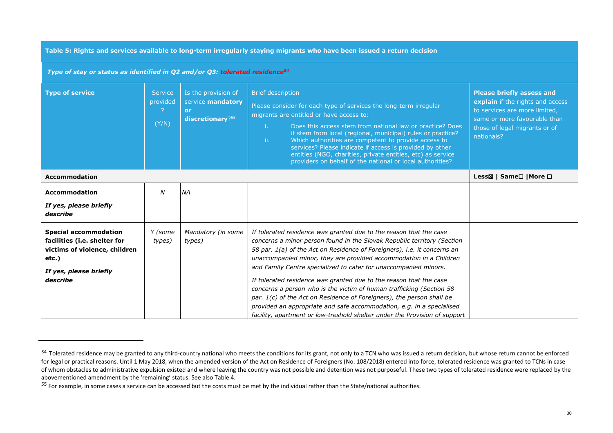**Table 5: Rights and services available to long-term irregularly staying migrants who have been issued a return decision** 

| Type of stay or status as identified in Q2 and/or Q3: tolerated residence <sup>54</sup>                                                      |                                     |                                                                    |                                                                                                                                                                                                                                                                                                                                                                                                                                                                                                                                                                                                                                                                                                                                                   |                                                                                                                                                                                      |
|----------------------------------------------------------------------------------------------------------------------------------------------|-------------------------------------|--------------------------------------------------------------------|---------------------------------------------------------------------------------------------------------------------------------------------------------------------------------------------------------------------------------------------------------------------------------------------------------------------------------------------------------------------------------------------------------------------------------------------------------------------------------------------------------------------------------------------------------------------------------------------------------------------------------------------------------------------------------------------------------------------------------------------------|--------------------------------------------------------------------------------------------------------------------------------------------------------------------------------------|
| <b>Type of service</b>                                                                                                                       | <b>Service</b><br>provided<br>(Y/N) | Is the provision of<br>service mandatory<br>or<br>discretionary?55 | <b>Brief description</b><br>Please consider for each type of services the long-term irregular<br>migrants are entitled or have access to:<br>Does this access stem from national law or practice? Does<br>i.<br>it stem from local (regional, municipal) rules or practice?<br>ii.<br>Which authorities are competent to provide access to<br>services? Please indicate if access is provided by other<br>entities (NGO, charities, private entities, etc) as service<br>providers on behalf of the national or local authorities?                                                                                                                                                                                                                | <b>Please briefly assess and</b><br>explain if the rights and access<br>to services are more limited,<br>same or more favourable than<br>those of legal migrants or of<br>nationals? |
| <b>Accommodation</b>                                                                                                                         | Less⊠   Same□   More □              |                                                                    |                                                                                                                                                                                                                                                                                                                                                                                                                                                                                                                                                                                                                                                                                                                                                   |                                                                                                                                                                                      |
| <b>Accommodation</b>                                                                                                                         | N                                   | <b>NA</b>                                                          |                                                                                                                                                                                                                                                                                                                                                                                                                                                                                                                                                                                                                                                                                                                                                   |                                                                                                                                                                                      |
| If yes, please briefly<br>describe                                                                                                           |                                     |                                                                    |                                                                                                                                                                                                                                                                                                                                                                                                                                                                                                                                                                                                                                                                                                                                                   |                                                                                                                                                                                      |
| <b>Special accommodation</b><br>facilities (i.e. shelter for<br>victims of violence, children<br>etc.)<br>If yes, please briefly<br>describe | Y (some<br>types)                   | Mandatory (in some<br>types)                                       | If tolerated residence was granted due to the reason that the case<br>concerns a minor person found in the Slovak Republic territory (Section<br>58 par. 1(a) of the Act on Residence of Foreigners), i.e. it concerns an<br>unaccompanied minor, they are provided accommodation in a Children<br>and Family Centre specialized to cater for unaccompanied minors.<br>If tolerated residence was granted due to the reason that the case<br>concerns a person who is the victim of human trafficking (Section 58<br>par. 1(c) of the Act on Residence of Foreigners), the person shall be<br>provided an appropriate and safe accommodation, e.g. in a specialised<br>facility, apartment or low-treshold shelter under the Provision of support |                                                                                                                                                                                      |

<sup>&</sup>lt;sup>54</sup> Tolerated residence may be granted to any third-country national who meets the conditions for its grant, not only to a TCN who was issued a return decision, but whose return cannot be enforced for legal or practical reasons. Until 1 May 2018, when the amended version of the Act on Residence of Foreigners (No. 108/2018) entered into force, tolerated residence was granted to TCNs in case of whom obstacles to administrative expulsion existed and where leaving the country was not possible and detention was not purposeful. These two types of tolerated residence were replaced by the abovementioned amendment by the 'remaining' status. See also Table 4.

<sup>&</sup>lt;sup>55</sup> For example, in some cases a service can be accessed but the costs must be met by the individual rather than the State/national authorities.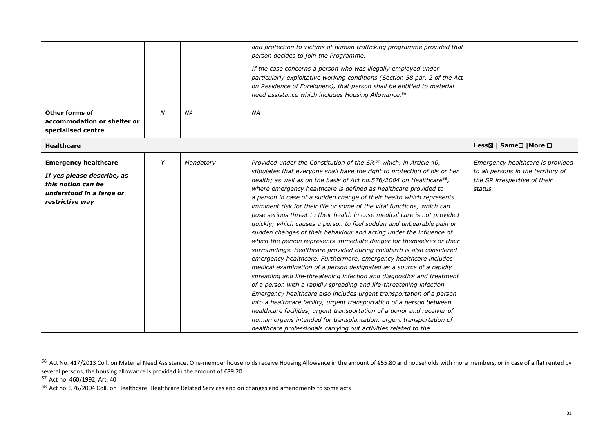|                                                                                                                                |   |           | and protection to victims of human trafficking programme provided that<br>person decides to join the Programme.<br>If the case concerns a person who was illegally employed under<br>particularly exploitative working conditions (Section 58 par. 2 of the Act<br>on Residence of Foreigners), that person shall be entitled to material<br>need assistance which includes Housing Allowance. <sup>56</sup>                                                                                                                                                                                                                                                                                                                                                                                                                                                                                                                                                                                                                                                                                                                                                                                                                                                                                                                                                                                                                                                                                                        |                                                                                                                   |
|--------------------------------------------------------------------------------------------------------------------------------|---|-----------|---------------------------------------------------------------------------------------------------------------------------------------------------------------------------------------------------------------------------------------------------------------------------------------------------------------------------------------------------------------------------------------------------------------------------------------------------------------------------------------------------------------------------------------------------------------------------------------------------------------------------------------------------------------------------------------------------------------------------------------------------------------------------------------------------------------------------------------------------------------------------------------------------------------------------------------------------------------------------------------------------------------------------------------------------------------------------------------------------------------------------------------------------------------------------------------------------------------------------------------------------------------------------------------------------------------------------------------------------------------------------------------------------------------------------------------------------------------------------------------------------------------------|-------------------------------------------------------------------------------------------------------------------|
| <b>Other forms of</b><br>accommodation or shelter or<br>specialised centre                                                     | N | NA        | ΝA                                                                                                                                                                                                                                                                                                                                                                                                                                                                                                                                                                                                                                                                                                                                                                                                                                                                                                                                                                                                                                                                                                                                                                                                                                                                                                                                                                                                                                                                                                                  |                                                                                                                   |
| <b>Healthcare</b>                                                                                                              |   |           |                                                                                                                                                                                                                                                                                                                                                                                                                                                                                                                                                                                                                                                                                                                                                                                                                                                                                                                                                                                                                                                                                                                                                                                                                                                                                                                                                                                                                                                                                                                     | Less⊠   Same□   More □                                                                                            |
| <b>Emergency healthcare</b><br>If yes please describe, as<br>this notion can be<br>understood in a large or<br>restrictive way | Y | Mandatory | Provided under the Constitution of the SR <sup>57</sup> which, in Article 40,<br>stipulates that everyone shall have the right to protection of his or her<br>health; as well as on the basis of Act no.576/2004 on Healthcare <sup>58</sup> ,<br>where emergency healthcare is defined as healthcare provided to<br>a person in case of a sudden change of their health which represents<br>imminent risk for their life or some of the vital functions; which can<br>pose serious threat to their health in case medical care is not provided<br>quickly; which causes a person to feel sudden and unbearable pain or<br>sudden changes of their behaviour and acting under the influence of<br>which the person represents immediate danger for themselves or their<br>surroundings. Healthcare provided during childbirth is also considered<br>emergency healthcare. Furthermore, emergency healthcare includes<br>medical examination of a person designated as a source of a rapidly<br>spreading and life-threatening infection and diagnostics and treatment<br>of a person with a rapidly spreading and life-threatening infection.<br>Emergency healthcare also includes urgent transportation of a person<br>into a healthcare facility, urgent transportation of a person between<br>healthcare facilities, urgent transportation of a donor and receiver of<br>human organs intended for transplantation, urgent transportation of<br>healthcare professionals carrying out activities related to the | Emergency healthcare is provided<br>to all persons in the territory of<br>the SR irrespective of their<br>status. |

<sup>&</sup>lt;sup>56</sup> Act No. 417/2013 Coll. on Material Need Assistance. One-member households receive Housing Allowance in the amount of €55.80 and households with more members, or in case of a flat rented by several persons, the housing allowance is provided in the amount of €89.20.

<sup>57</sup> Act no. 460/1992, Art. 40

<sup>&</sup>lt;sup>58</sup> Act no. 576/2004 Coll. on Healthcare, Healthcare Related Services and on changes and amendments to some acts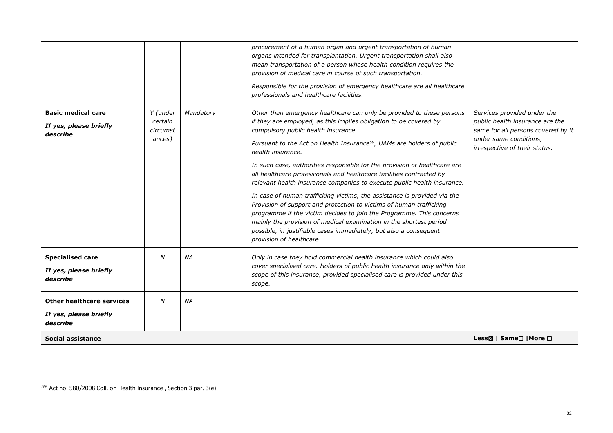|                                                                        |                                                  |           | procurement of a human organ and urgent transportation of human<br>organs intended for transplantation. Urgent transportation shall also<br>mean transportation of a person whose health condition requires the<br>provision of medical care in course of such transportation.<br>Responsible for the provision of emergency healthcare are all healthcare<br>professionals and healthcare facilities.                                                                                                                                                                                                                                                                                                                                                                                                                                                                                                                         |                                                                                                                                                                 |
|------------------------------------------------------------------------|--------------------------------------------------|-----------|--------------------------------------------------------------------------------------------------------------------------------------------------------------------------------------------------------------------------------------------------------------------------------------------------------------------------------------------------------------------------------------------------------------------------------------------------------------------------------------------------------------------------------------------------------------------------------------------------------------------------------------------------------------------------------------------------------------------------------------------------------------------------------------------------------------------------------------------------------------------------------------------------------------------------------|-----------------------------------------------------------------------------------------------------------------------------------------------------------------|
| <b>Basic medical care</b><br>If yes, please briefly<br>describe        | Y (under<br>certain<br><i>circumst</i><br>ances) | Mandatory | Other than emergency healthcare can only be provided to these persons<br>if they are employed, as this implies obligation to be covered by<br>compulsory public health insurance.<br>Pursuant to the Act on Health Insurance <sup>59</sup> , UAMs are holders of public<br>health insurance.<br>In such case, authorities responsible for the provision of healthcare are<br>all healthcare professionals and healthcare facilities contracted by<br>relevant health insurance companies to execute public health insurance.<br>In case of human trafficking victims, the assistance is provided via the<br>Provision of support and protection to victims of human trafficking<br>programme if the victim decides to join the Programme. This concerns<br>mainly the provision of medical examination in the shortest period<br>possible, in justifiable cases immediately, but also a consequent<br>provision of healthcare. | Services provided under the<br>public health insurance are the<br>same for all persons covered by it<br>under same conditions,<br>irrespective of their status. |
| <b>Specialised care</b><br>If yes, please briefly<br>describe          | N                                                | ΝA        | Only in case they hold commercial health insurance which could also<br>cover specialised care. Holders of public health insurance only within the<br>scope of this insurance, provided specialised care is provided under this<br>scope.                                                                                                                                                                                                                                                                                                                                                                                                                                                                                                                                                                                                                                                                                       |                                                                                                                                                                 |
| <b>Other healthcare services</b><br>If yes, please briefly<br>describe | N                                                | <b>NA</b> |                                                                                                                                                                                                                                                                                                                                                                                                                                                                                                                                                                                                                                                                                                                                                                                                                                                                                                                                |                                                                                                                                                                 |
| Social assistance                                                      |                                                  |           |                                                                                                                                                                                                                                                                                                                                                                                                                                                                                                                                                                                                                                                                                                                                                                                                                                                                                                                                | Less⊠   Same <sup>[1</sup>   More <sup>[1</sup> ]                                                                                                               |

<sup>&</sup>lt;sup>59</sup> Act no. 580/2008 Coll. on Health Insurance , Section 3 par. 3(e)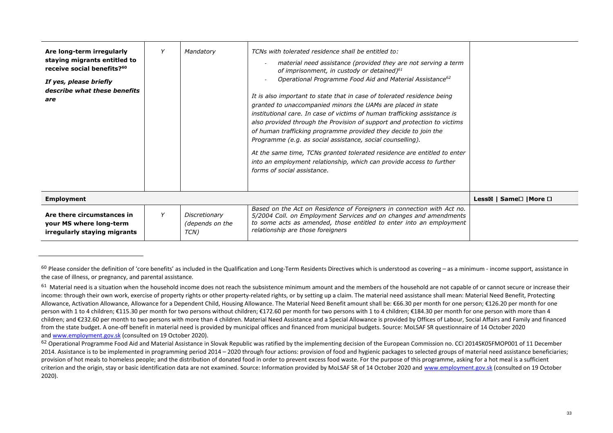| Are long-term irregularly<br>staying migrants entitled to<br>receive social benefits? <sup>60</sup><br>If yes, please briefly<br>describe what these benefits<br>are | Mandatory                                | TCNs with tolerated residence shall be entitled to:<br>material need assistance (provided they are not serving a term<br>of imprisonment, in custody or detained) $61$<br>Operational Programme Food Aid and Material Assistance <sup>62</sup><br>It is also important to state that in case of tolerated residence being<br>granted to unaccompanied minors the UAMs are placed in state<br>institutional care. In case of victims of human trafficking assistance is<br>also provided through the Provision of support and protection to victims<br>of human trafficking programme provided they decide to join the<br>Programme (e.g. as social assistance, social counselling).<br>At the same time, TCNs granted tolerated residence are entitled to enter<br>into an employment relationship, which can provide access to further<br>forms of social assistance. |                        |
|----------------------------------------------------------------------------------------------------------------------------------------------------------------------|------------------------------------------|------------------------------------------------------------------------------------------------------------------------------------------------------------------------------------------------------------------------------------------------------------------------------------------------------------------------------------------------------------------------------------------------------------------------------------------------------------------------------------------------------------------------------------------------------------------------------------------------------------------------------------------------------------------------------------------------------------------------------------------------------------------------------------------------------------------------------------------------------------------------|------------------------|
| <b>Employment</b>                                                                                                                                                    |                                          |                                                                                                                                                                                                                                                                                                                                                                                                                                                                                                                                                                                                                                                                                                                                                                                                                                                                        | Less⊠   Same□   More □ |
| Are there circumstances in<br>your MS where long-term<br>irregularly staying migrants                                                                                | Discretionary<br>(depends on the<br>TCN) | Based on the Act on Residence of Foreigners in connection with Act no.<br>5/2004 Coll. on Employment Services and on changes and amendments<br>to some acts as amended, those entitled to enter into an employment<br>relationship are those foreigners                                                                                                                                                                                                                                                                                                                                                                                                                                                                                                                                                                                                                |                        |

 $60$  Please consider the definition of 'core benefits' as included in the Qualification and Long-Term Residents Directives which is understood as covering – as a minimum - income support, assistance in the case of illness, or pregnancy, and parental assistance.

 $^{61}$  Material need is a situation when the household income does not reach the subsistence minimum amount and the members of the household are not capable of or cannot secure or increase their income: through their own work, exercise of property rights or other property-related rights, or by setting up a claim. The material need assistance shall mean: Material Need Benefit, Protecting Allowance, Activation Allowance, Allowance for a Dependent Child, Housing Allowance. The Material Need Benefit amount shall be: €66.30 per month for one person; €126.20 per month for one person with 1 to 4 children; €115.30 per month for two persons without children; €172.60 per month for two persons with 1 to 4 children; €184.30 per month for one person with more than 4 children; and €232.60 per month to two persons with more than 4 children. Material Need Assistance and a Special Allowance is provided by Offices of Labour, Social Affairs and Family and financed from the state budget. A one-off benefit in material need is provided by municipal offices and financed from municipal budgets. Source: MoLSAF SR questionnaire of 14 October 2020 and <u>www.employment.gov.sk</u> (consulted on 19 October 2020).<br>--

<sup>&</sup>lt;sup>62</sup> Operational Programme Food Aid and Material Assistance in Slovak Republic was ratified by the implementing decision of the European Commission no. CCI 2014SK05FMOP001 of 11 December 2014. Assistance is to be implemented in programming period 2014 – 2020 through four actions: provision of food and hygienic packages to selected groups of material need assistance beneficiaries; provision of hot meals to homeless people; and the distribution of donated food in order to prevent excess food waste. For the purpose of this programme, asking for a hot meal is a sufficient criterion and the origin, stay or basic identification data are not examined. Source: Information provided by MoLSAF SR of 14 October 2020 and www.employment.gov.sk (consulted on 19 October 2020).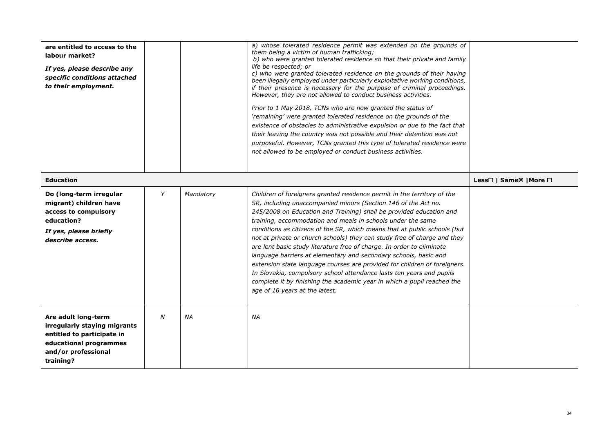| are entitled to access to the<br>labour market?<br>If yes, please describe any<br>specific conditions attached<br>to their employment.          |   |           | a) whose tolerated residence permit was extended on the grounds of<br>them being a victim of human trafficking;<br>b) who were granted tolerated residence so that their private and family<br>life be respected; or<br>c) who were granted tolerated residence on the grounds of their having<br>been illegally employed under particularly exploitative working conditions,<br>if their presence is necessary for the purpose of criminal proceedings.<br>However, they are not allowed to conduct business activities.<br>Prior to 1 May 2018, TCNs who are now granted the status of<br>'remaining' were granted tolerated residence on the grounds of the<br>existence of obstacles to administrative expulsion or due to the fact that<br>their leaving the country was not possible and their detention was not<br>purposeful. However, TCNs granted this type of tolerated residence were<br>not allowed to be employed or conduct business activities. |                        |
|-------------------------------------------------------------------------------------------------------------------------------------------------|---|-----------|-----------------------------------------------------------------------------------------------------------------------------------------------------------------------------------------------------------------------------------------------------------------------------------------------------------------------------------------------------------------------------------------------------------------------------------------------------------------------------------------------------------------------------------------------------------------------------------------------------------------------------------------------------------------------------------------------------------------------------------------------------------------------------------------------------------------------------------------------------------------------------------------------------------------------------------------------------------------|------------------------|
| <b>Education</b>                                                                                                                                |   |           |                                                                                                                                                                                                                                                                                                                                                                                                                                                                                                                                                                                                                                                                                                                                                                                                                                                                                                                                                                 | Less□   Same⊠   More □ |
| Do (long-term irregular<br>migrant) children have<br>access to compulsory<br>education?<br>If yes, please briefly<br>describe access.           | Y | Mandatory | Children of foreigners granted residence permit in the territory of the<br>SR, including unaccompanied minors (Section 146 of the Act no.<br>245/2008 on Education and Training) shall be provided education and<br>training, accommodation and meals in schools under the same<br>conditions as citizens of the SR, which means that at public schools (but<br>not at private or church schools) they can study free of charge and they<br>are lent basic study literature free of charge. In order to eliminate<br>language barriers at elementary and secondary schools, basic and<br>extension state language courses are provided for children of foreigners.<br>In Slovakia, compulsory school attendance lasts ten years and pupils<br>complete it by finishing the academic year in which a pupil reached the<br>age of 16 years at the latest.                                                                                                         |                        |
| Are adult long-term<br>irregularly staying migrants<br>entitled to participate in<br>educational programmes<br>and/or professional<br>training? | N | NA        | ΝA                                                                                                                                                                                                                                                                                                                                                                                                                                                                                                                                                                                                                                                                                                                                                                                                                                                                                                                                                              |                        |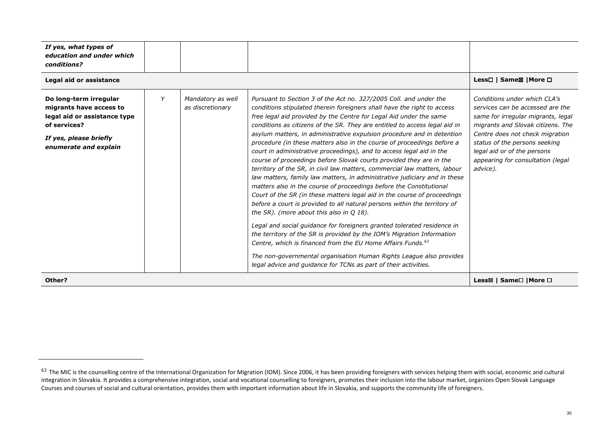| If yes, what types of<br>education and under which<br>conditions?                                                                                    |   |                                       |                                                                                                                                                                                                                                                                                                                                                                                                                                                                                                                                                                                                                                                                                                                                                                                                                                                                                                                                                                                                                                                                                                                                                                                                                                                                                                                                                                                                                          |                                                                                                                                                                                                                                                                                                 |
|------------------------------------------------------------------------------------------------------------------------------------------------------|---|---------------------------------------|--------------------------------------------------------------------------------------------------------------------------------------------------------------------------------------------------------------------------------------------------------------------------------------------------------------------------------------------------------------------------------------------------------------------------------------------------------------------------------------------------------------------------------------------------------------------------------------------------------------------------------------------------------------------------------------------------------------------------------------------------------------------------------------------------------------------------------------------------------------------------------------------------------------------------------------------------------------------------------------------------------------------------------------------------------------------------------------------------------------------------------------------------------------------------------------------------------------------------------------------------------------------------------------------------------------------------------------------------------------------------------------------------------------------------|-------------------------------------------------------------------------------------------------------------------------------------------------------------------------------------------------------------------------------------------------------------------------------------------------|
| Legal aid or assistance                                                                                                                              |   |                                       |                                                                                                                                                                                                                                                                                                                                                                                                                                                                                                                                                                                                                                                                                                                                                                                                                                                                                                                                                                                                                                                                                                                                                                                                                                                                                                                                                                                                                          | Less□   Same⊠   More □                                                                                                                                                                                                                                                                          |
| Do long-term irregular<br>migrants have access to<br>legal aid or assistance type<br>of services?<br>If yes, please briefly<br>enumerate and explain | Y | Mandatory as well<br>as discretionary | Pursuant to Section 3 of the Act no. 327/2005 Coll. and under the<br>conditions stipulated therein foreigners shall have the right to access<br>free legal aid provided by the Centre for Legal Aid under the same<br>conditions as citizens of the SR. They are entitled to access legal aid in<br>asylum matters, in administrative expulsion procedure and in detention<br>procedure (in these matters also in the course of proceedings before a<br>court in administrative proceedings), and to access legal aid in the<br>course of proceedings before Slovak courts provided they are in the<br>territory of the SR, in civil law matters, commercial law matters, labour<br>law matters, family law matters, in administrative judiciary and in these<br>matters also in the course of proceedings before the Constitutional<br>Court of the SR (in these matters legal aid in the course of proceedings<br>before a court is provided to all natural persons within the territory of<br>the $SR$ ). (more about this also in $Q$ 18).<br>Legal and social guidance for foreigners granted tolerated residence in<br>the territory of the SR is provided by the IOM's Migration Information<br>Centre, which is financed from the EU Home Affairs Funds. <sup>63</sup><br>The non-governmental organisation Human Rights League also provides<br>legal advice and guidance for TCNs as part of their activities. | Conditions under which CLA's<br>services can be accessed are the<br>same for irregular migrants, legal<br>migrants and Slovak citizens. The<br>Centre does not check migration<br>status of the persons seeking<br>legal aid or of the persons<br>appearing for consultation (legal<br>advice). |
| Other?                                                                                                                                               |   |                                       |                                                                                                                                                                                                                                                                                                                                                                                                                                                                                                                                                                                                                                                                                                                                                                                                                                                                                                                                                                                                                                                                                                                                                                                                                                                                                                                                                                                                                          | Less⊠   Same□   More □                                                                                                                                                                                                                                                                          |

 $^{63}$  The MIC is the counselling centre of the International Organization for Migration (IOM). Since 2006, it has been providing foreigners with services helping them with social, economic and cultural integration in Slovakia. It provides a comprehensive integration, social and vocational counselling to foreigners, promotes their inclusion into the labour market, organizes Open Slovak Language Courses and courses of social and cultural orientation, provides them with important information about life in Slovakia, and supports the community life of foreigners.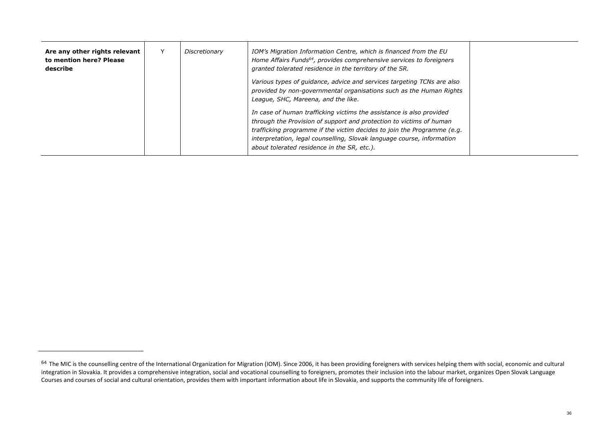| Are any other rights relevant<br>to mention here? Please<br>describe | Discretionary | IOM's Migration Information Centre, which is financed from the EU<br>Home Affairs Funds <sup>64</sup> , provides comprehensive services to foreigners<br>granted tolerated residence in the territory of the SR.                                                                                                                                |  |
|----------------------------------------------------------------------|---------------|-------------------------------------------------------------------------------------------------------------------------------------------------------------------------------------------------------------------------------------------------------------------------------------------------------------------------------------------------|--|
|                                                                      |               | Various types of guidance, advice and services targeting TCNs are also<br>provided by non-governmental organisations such as the Human Rights<br>League, SHC, Mareena, and the like.                                                                                                                                                            |  |
|                                                                      |               | In case of human trafficking victims the assistance is also provided<br>through the Provision of support and protection to victims of human<br>trafficking programme if the victim decides to join the Programme (e.g.<br>interpretation, legal counselling, Slovak language course, information<br>about tolerated residence in the SR, etc.). |  |

<sup>&</sup>lt;sup>64</sup> The MIC is the counselling centre of the International Organization for Migration (IOM). Since 2006, it has been providing foreigners with services helping them with social, economic and cultural integration in Slovakia. It provides a comprehensive integration, social and vocational counselling to foreigners, promotes their inclusion into the labour market, organizes Open Slovak Language Courses and courses of social and cultural orientation, provides them with important information about life in Slovakia, and supports the community life of foreigners.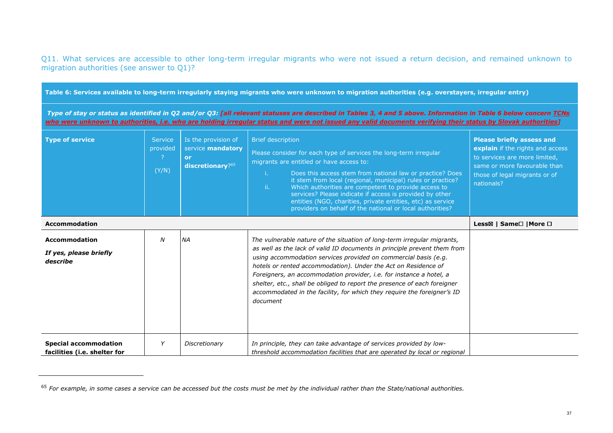Q11. What services are accessible to other long-term irregular migrants who were not issued a return decision, and remained unknown to migration authorities (see answer to Q1)?

| Table 6: Services available to long-term irregularly staying migrants who were unknown to migration authorities (e.g. overstayers, irregular entry) |                                     |                                                                    |                                                                                                                                                                                                                                                                                                                                                                                                                                                                                                                                    |                                                                                                                                                                                      |  |
|-----------------------------------------------------------------------------------------------------------------------------------------------------|-------------------------------------|--------------------------------------------------------------------|------------------------------------------------------------------------------------------------------------------------------------------------------------------------------------------------------------------------------------------------------------------------------------------------------------------------------------------------------------------------------------------------------------------------------------------------------------------------------------------------------------------------------------|--------------------------------------------------------------------------------------------------------------------------------------------------------------------------------------|--|
|                                                                                                                                                     |                                     |                                                                    | Type of stay or status as identified in Q2 and/or Q3: [all relevant statuses are described in Tables 3, 4 and 5 above. Information in Table 6 below concern TCNs<br>who were unknown to authorities, i.e. who are holding irregular status and were not issued any valid documents verifying their status by Slovak authorities]                                                                                                                                                                                                   |                                                                                                                                                                                      |  |
| <b>Type of service</b>                                                                                                                              | <b>Service</b><br>provided<br>(Y/N) | Is the provision of<br>service mandatory<br>or<br>discretionary?65 | <b>Brief description</b><br>Please consider for each type of services the long-term irregular<br>migrants are entitled or have access to:<br>Does this access stem from national law or practice? Does<br>Ť.<br>it stem from local (regional, municipal) rules or practice?<br>ii.<br>Which authorities are competent to provide access to<br>services? Please indicate if access is provided by other<br>entities (NGO, charities, private entities, etc) as service<br>providers on behalf of the national or local authorities? | <b>Please briefly assess and</b><br>explain if the rights and access<br>to services are more limited,<br>same or more favourable than<br>those of legal migrants or of<br>nationals? |  |
| <b>Accommodation</b>                                                                                                                                |                                     |                                                                    |                                                                                                                                                                                                                                                                                                                                                                                                                                                                                                                                    | Less⊠   Same□   More □                                                                                                                                                               |  |
| <b>Accommodation</b><br>If yes, please briefly<br>describe                                                                                          | $\boldsymbol{N}$                    | <b>NA</b>                                                          | The vulnerable nature of the situation of long-term irregular migrants,<br>as well as the lack of valid ID documents in principle prevent them from<br>using accommodation services provided on commercial basis (e.g.<br>hotels or rented accommodation). Under the Act on Residence of<br>Foreigners, an accommodation provider, i.e. for instance a hotel, a<br>shelter, etc., shall be obliged to report the presence of each foreigner<br>accommodated in the facility, for which they require the foreigner's ID<br>document |                                                                                                                                                                                      |  |
| <b>Special accommodation</b><br>facilities (i.e. shelter for                                                                                        | Y                                   | Discretionary                                                      | In principle, they can take advantage of services provided by low-<br>threshold accommodation facilities that are operated by local or regional                                                                                                                                                                                                                                                                                                                                                                                    |                                                                                                                                                                                      |  |

<sup>65</sup> *For example, in some cases a service can be accessed but the costs must be met by the individual rather than the State/national authorities.*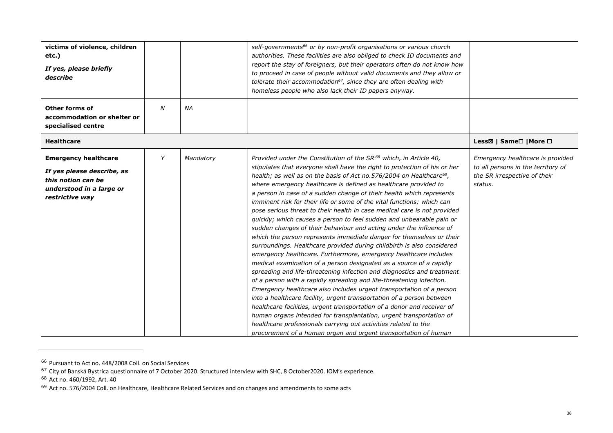| victims of violence, children<br>etc.)<br>If yes, please briefly<br>describe                                                   |                  |           | self-governments <sup>66</sup> or by non-profit organisations or various church<br>authorities. These facilities are also obliged to check ID documents and<br>report the stay of foreigners, but their operators often do not know how<br>to proceed in case of people without valid documents and they allow or<br>tolerate their accommodation <sup>67</sup> , since they are often dealing with<br>homeless people who also lack their ID papers anyway.                                                                                                                                                                                                                                                                                                                                                                                                                                                                                                                                                                                                                                                                                                                                                                                                                                                                                                                                                                                                                                                                                                                           |                                                                                                                   |
|--------------------------------------------------------------------------------------------------------------------------------|------------------|-----------|----------------------------------------------------------------------------------------------------------------------------------------------------------------------------------------------------------------------------------------------------------------------------------------------------------------------------------------------------------------------------------------------------------------------------------------------------------------------------------------------------------------------------------------------------------------------------------------------------------------------------------------------------------------------------------------------------------------------------------------------------------------------------------------------------------------------------------------------------------------------------------------------------------------------------------------------------------------------------------------------------------------------------------------------------------------------------------------------------------------------------------------------------------------------------------------------------------------------------------------------------------------------------------------------------------------------------------------------------------------------------------------------------------------------------------------------------------------------------------------------------------------------------------------------------------------------------------------|-------------------------------------------------------------------------------------------------------------------|
| <b>Other forms of</b><br>accommodation or shelter or<br>specialised centre                                                     | $\boldsymbol{N}$ | <b>NA</b> |                                                                                                                                                                                                                                                                                                                                                                                                                                                                                                                                                                                                                                                                                                                                                                                                                                                                                                                                                                                                                                                                                                                                                                                                                                                                                                                                                                                                                                                                                                                                                                                        |                                                                                                                   |
| <b>Healthcare</b>                                                                                                              |                  |           |                                                                                                                                                                                                                                                                                                                                                                                                                                                                                                                                                                                                                                                                                                                                                                                                                                                                                                                                                                                                                                                                                                                                                                                                                                                                                                                                                                                                                                                                                                                                                                                        | Less⊠   Same□   More □                                                                                            |
| <b>Emergency healthcare</b><br>If yes please describe, as<br>this notion can be<br>understood in a large or<br>restrictive way | Y                | Mandatory | Provided under the Constitution of the SR <sup>68</sup> which, in Article 40,<br>stipulates that everyone shall have the right to protection of his or her<br>health; as well as on the basis of Act no.576/2004 on Healthcare <sup>69</sup> ,<br>where emergency healthcare is defined as healthcare provided to<br>a person in case of a sudden change of their health which represents<br>imminent risk for their life or some of the vital functions; which can<br>pose serious threat to their health in case medical care is not provided<br>quickly; which causes a person to feel sudden and unbearable pain or<br>sudden changes of their behaviour and acting under the influence of<br>which the person represents immediate danger for themselves or their<br>surroundings. Healthcare provided during childbirth is also considered<br>emergency healthcare. Furthermore, emergency healthcare includes<br>medical examination of a person designated as a source of a rapidly<br>spreading and life-threatening infection and diagnostics and treatment<br>of a person with a rapidly spreading and life-threatening infection.<br>Emergency healthcare also includes urgent transportation of a person<br>into a healthcare facility, urgent transportation of a person between<br>healthcare facilities, urgent transportation of a donor and receiver of<br>human organs intended for transplantation, urgent transportation of<br>healthcare professionals carrying out activities related to the<br>procurement of a human organ and urgent transportation of human | Emergency healthcare is provided<br>to all persons in the territory of<br>the SR irrespective of their<br>status. |

<sup>&</sup>lt;sup>66</sup> Pursuant to Act no. 448/2008 Coll. on Social Services<br><sup>67</sup> City of Banská Bystrica questionnaire of 7 October 2020. Structured interview with SHC, 8 October2020. IOM's experience.<br><sup>68</sup> Act no. 460/1992, Art. 40

<sup>&</sup>lt;sup>69</sup> Act no. 576/2004 Coll. on Healthcare, Healthcare Related Services and on changes and amendments to some acts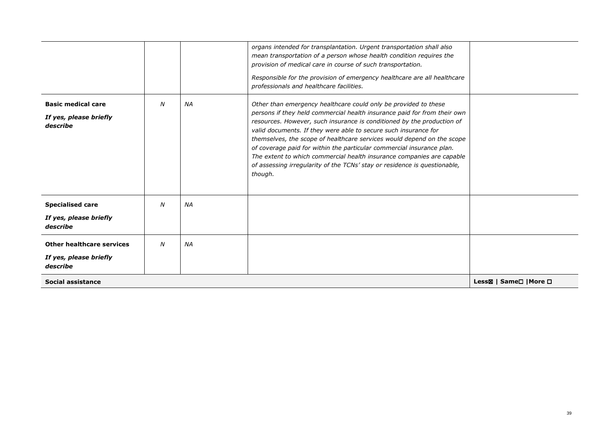|                                                                 |   |           | organs intended for transplantation. Urgent transportation shall also<br>mean transportation of a person whose health condition requires the<br>provision of medical care in course of such transportation.<br>Responsible for the provision of emergency healthcare are all healthcare<br>professionals and healthcare facilities.                                                                                                                                                                                                                                                                          |                        |
|-----------------------------------------------------------------|---|-----------|--------------------------------------------------------------------------------------------------------------------------------------------------------------------------------------------------------------------------------------------------------------------------------------------------------------------------------------------------------------------------------------------------------------------------------------------------------------------------------------------------------------------------------------------------------------------------------------------------------------|------------------------|
| <b>Basic medical care</b><br>If yes, please briefly<br>describe | N | <b>NA</b> | Other than emergency healthcare could only be provided to these<br>persons if they held commercial health insurance paid for from their own<br>resources. However, such insurance is conditioned by the production of<br>valid documents. If they were able to secure such insurance for<br>themselves, the scope of healthcare services would depend on the scope<br>of coverage paid for within the particular commercial insurance plan.<br>The extent to which commercial health insurance companies are capable<br>of assessing irregularity of the TCNs' stay or residence is questionable,<br>though. |                        |
| <b>Specialised care</b><br>If yes, please briefly<br>describe   | N | <b>NA</b> |                                                                                                                                                                                                                                                                                                                                                                                                                                                                                                                                                                                                              |                        |
| Other healthcare services<br>If yes, please briefly<br>describe | N | <b>NA</b> |                                                                                                                                                                                                                                                                                                                                                                                                                                                                                                                                                                                                              |                        |
| <b>Social assistance</b>                                        |   |           |                                                                                                                                                                                                                                                                                                                                                                                                                                                                                                                                                                                                              | Less⊠   Same□   More □ |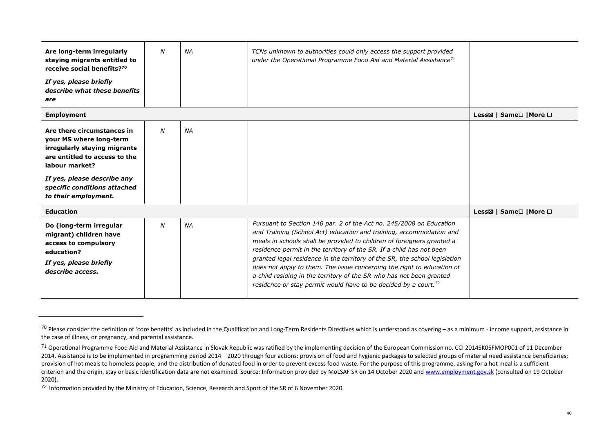| Are long-term irregularly<br>staying migrants entitled to<br>receive social benefits? <sup>70</sup><br>If yes, please briefly<br>describe what these benefits<br>are | N | <b>NA</b> | TCNs unknown to authorities could only access the support provided<br>under the Operational Programme Food Aid and Material Assistance <sup>71</sup>                                                                                                                                                                                                                                                                                                                                                                                                                                                        |                                                  |
|----------------------------------------------------------------------------------------------------------------------------------------------------------------------|---|-----------|-------------------------------------------------------------------------------------------------------------------------------------------------------------------------------------------------------------------------------------------------------------------------------------------------------------------------------------------------------------------------------------------------------------------------------------------------------------------------------------------------------------------------------------------------------------------------------------------------------------|--------------------------------------------------|
| <b>Employment</b>                                                                                                                                                    |   |           |                                                                                                                                                                                                                                                                                                                                                                                                                                                                                                                                                                                                             | Less⊠   Same <sup>[1</sup>   More <sup>[1]</sup> |
| Are there circumstances in<br>your MS where long-term<br>irregularly staying migrants<br>are entitled to access to the<br>labour market?                             | N | <b>NA</b> |                                                                                                                                                                                                                                                                                                                                                                                                                                                                                                                                                                                                             |                                                  |
| If yes, please describe any<br>specific conditions attached<br>to their employment.                                                                                  |   |           |                                                                                                                                                                                                                                                                                                                                                                                                                                                                                                                                                                                                             |                                                  |
| <b>Education</b>                                                                                                                                                     |   |           |                                                                                                                                                                                                                                                                                                                                                                                                                                                                                                                                                                                                             | Less⊠   Same <sup>[1</sup>   More <sup>[1]</sup> |
| Do (long-term irregular<br>migrant) children have<br>access to compulsory<br>education?<br>If yes, please briefly<br>describe access.                                | N | <b>NA</b> | Pursuant to Section 146 par. 2 of the Act no. 245/2008 on Education<br>and Training (School Act) education and training, accommodation and<br>meals in schools shall be provided to children of foreigners granted a<br>residence permit in the territory of the SR. If a child has not been<br>granted legal residence in the territory of the SR, the school legislation<br>does not apply to them. The issue concerning the right to education of<br>a child residing in the territory of the SR who has not been granted<br>residence or stay permit would have to be decided by a court. <sup>72</sup> |                                                  |

<sup>&</sup>lt;sup>70</sup> Please consider the definition of 'core benefits' as included in the Qualification and Long-Term Residents Directives which is understood as covering – as a minimum - income support, assistance in the case of illness, or pregnancy, and parental assistance.

<sup>&</sup>lt;sup>71</sup> Operational Programme Food Aid and Material Assistance in Slovak Republic was ratified by the implementing decision of the European Commission no. CCI 2014SK05FMOP001 of 11 December 2014. Assistance is to be implemented in programming period 2014 – 2020 through four actions: provision of food and hygienic packages to selected groups of material need assistance beneficiaries; provision of hot meals to homeless people; and the distribution of donated food in order to prevent excess food waste. For the purpose of this programme, asking for a hot meal is a sufficient criterion and the origin, stay or basic identification data are not examined. Source: Information provided by MoLSAF SR on 14 October 2020 and <u>www.employment.gov.sk</u> (consulted on 19 October 2020).

 $72$  Information provided by the Ministry of Education, Science, Research and Sport of the SR of 6 November 2020.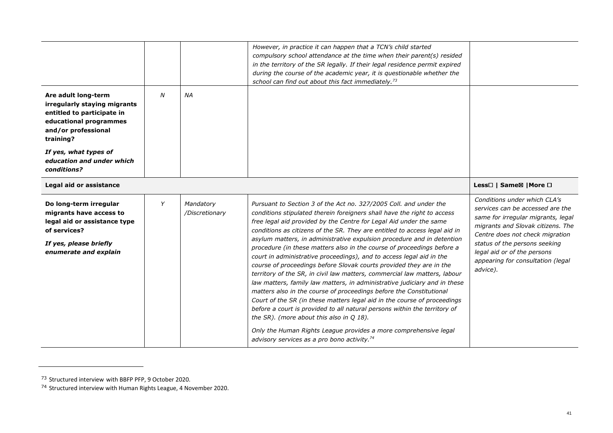|                                                                                                                                                      |   |                             | However, in practice it can happen that a TCN's child started<br>compulsory school attendance at the time when their parent(s) resided<br>in the territory of the SR legally. If their legal residence permit expired<br>during the course of the academic year, it is questionable whether the<br>school can find out about this fact immediately. <sup>73</sup>                                                                                                                                                                                                                                                                                                                                                                                                                                                                                                                                                                                                                                                                                                                                             |                                                                                                                                                                                                                                                                                                 |
|------------------------------------------------------------------------------------------------------------------------------------------------------|---|-----------------------------|---------------------------------------------------------------------------------------------------------------------------------------------------------------------------------------------------------------------------------------------------------------------------------------------------------------------------------------------------------------------------------------------------------------------------------------------------------------------------------------------------------------------------------------------------------------------------------------------------------------------------------------------------------------------------------------------------------------------------------------------------------------------------------------------------------------------------------------------------------------------------------------------------------------------------------------------------------------------------------------------------------------------------------------------------------------------------------------------------------------|-------------------------------------------------------------------------------------------------------------------------------------------------------------------------------------------------------------------------------------------------------------------------------------------------|
| Are adult long-term<br>irregularly staying migrants<br>entitled to participate in<br>educational programmes<br>and/or professional<br>training?      | N | <b>NA</b>                   |                                                                                                                                                                                                                                                                                                                                                                                                                                                                                                                                                                                                                                                                                                                                                                                                                                                                                                                                                                                                                                                                                                               |                                                                                                                                                                                                                                                                                                 |
| If yes, what types of<br>education and under which<br>conditions?                                                                                    |   |                             |                                                                                                                                                                                                                                                                                                                                                                                                                                                                                                                                                                                                                                                                                                                                                                                                                                                                                                                                                                                                                                                                                                               |                                                                                                                                                                                                                                                                                                 |
| Legal aid or assistance                                                                                                                              |   |                             |                                                                                                                                                                                                                                                                                                                                                                                                                                                                                                                                                                                                                                                                                                                                                                                                                                                                                                                                                                                                                                                                                                               | Less□   Same⊠   More □                                                                                                                                                                                                                                                                          |
| Do long-term irregular<br>migrants have access to<br>legal aid or assistance type<br>of services?<br>If yes, please briefly<br>enumerate and explain | Y | Mandatory<br>/Discretionary | Pursuant to Section 3 of the Act no. 327/2005 Coll. and under the<br>conditions stipulated therein foreigners shall have the right to access<br>free legal aid provided by the Centre for Legal Aid under the same<br>conditions as citizens of the SR. They are entitled to access legal aid in<br>asylum matters, in administrative expulsion procedure and in detention<br>procedure (in these matters also in the course of proceedings before a<br>court in administrative proceedings), and to access legal aid in the<br>course of proceedings before Slovak courts provided they are in the<br>territory of the SR, in civil law matters, commercial law matters, labour<br>law matters, family law matters, in administrative judiciary and in these<br>matters also in the course of proceedings before the Constitutional<br>Court of the SR (in these matters legal aid in the course of proceedings<br>before a court is provided to all natural persons within the territory of<br>the SR). (more about this also in Q 18).<br>Only the Human Rights League provides a more comprehensive legal | Conditions under which CLA's<br>services can be accessed are the<br>same for irregular migrants, legal<br>migrants and Slovak citizens. The<br>Centre does not check migration<br>status of the persons seeking<br>legal aid or of the persons<br>appearing for consultation (legal<br>advice). |

<sup>&</sup>lt;sup>73</sup> Structured interview with BBFP PFP, 9 October 2020.<br><sup>74</sup> Structured interview with Human Rights League, 4 November 2020.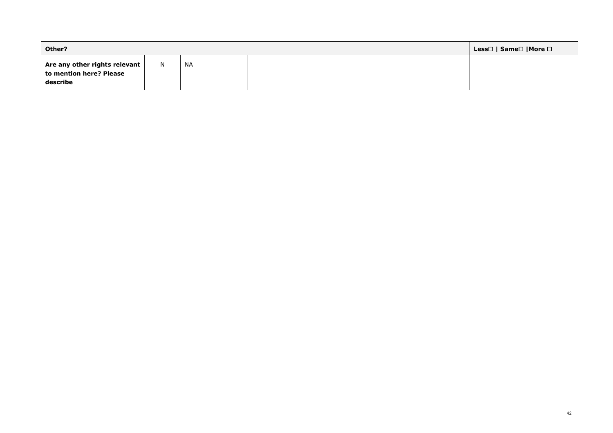| Other?                                                                 |   |           |  | Less□   Same□  More □ |
|------------------------------------------------------------------------|---|-----------|--|-----------------------|
| Are any other rights relevant  <br>to mention here? Please<br>describe | N | <b>NA</b> |  |                       |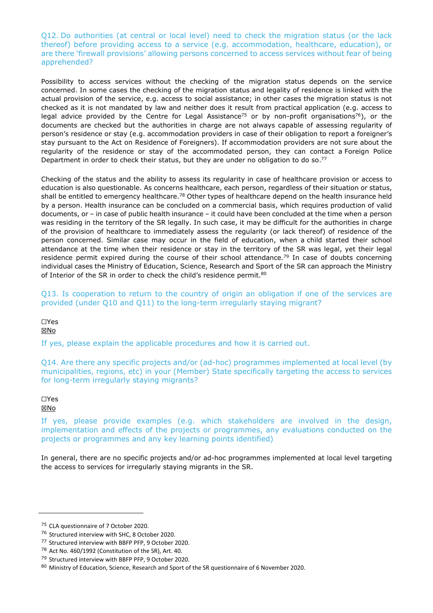Q12. Do authorities (at central or local level) need to check the migration status (or the lack thereof) before providing access to a service (e.g. accommodation, healthcare, education), or are there 'firewall provisions' allowing persons concerned to access services without fear of being apprehended?

Possibility to access services without the checking of the migration status depends on the service concerned. In some cases the checking of the migration status and legality of residence is linked with the actual provision of the service, e.g. access to social assistance; in other cases the migration status is not checked as it is not mandated by law and neither does it result from practical application (e.g. access to legal advice provided by the Centre for Legal Assistance<sup>75</sup> or by non-profit organisations<sup>76</sup>), or the documents are checked but the authorities in charge are not always capable of assessing regularity of person's residence or stay (e.g. accommodation providers in case of their obligation to report a foreigner's stay pursuant to the Act on Residence of Foreigners). If accommodation providers are not sure about the regularity of the residence or stay of the accommodated person, they can contact a Foreign Police Department in order to check their status, but they are under no obligation to do so.<sup>77</sup>

Checking of the status and the ability to assess its regularity in case of healthcare provision or access to education is also questionable. As concerns healthcare, each person, regardless of their situation or status, shall be entitled to emergency healthcare.<sup>78</sup> Other types of healthcare depend on the health insurance held by a person. Health insurance can be concluded on a commercial basis, which requires production of valid documents, or – in case of public health insurance – it could have been concluded at the time when a person was residing in the territory of the SR legally. In such case, it may be difficult for the authorities in charge of the provision of healthcare to immediately assess the regularity (or lack thereof) of residence of the person concerned. Similar case may occur in the field of education, when a child started their school attendance at the time when their residence or stay in the territory of the SR was legal, yet their legal residence permit expired during the course of their school attendance*.* <sup>79</sup> In case of doubts concerning individual cases the Ministry of Education, Science, Research and Sport of the SR can approach the Ministry of Interior of the SR in order to check the child's residence permit.<sup>80</sup>

Q13. Is cooperation to return to the country of origin an obligation if one of the services are provided (under Q10 and Q11) to the long-term irregularly staying migrant?

☐Yes

⊠No

If yes, please explain the applicable procedures and how it is carried out.

Q14. Are there any specific projects and/or (ad-hoc) programmes implemented at local level (by municipalities, regions, etc) in your (Member) State specifically targeting the access to services for long-term irregularly staying migrants?

☐Yes ☒No

If yes, please provide examples (e.g. which stakeholders are involved in the design, implementation and effects of the projects or programmes, any evaluations conducted on the projects or programmes and any key learning points identified)

In general, there are no specific projects and/or ad-hoc programmes implemented at local level targeting the access to services for irregularly staying migrants in the SR.

<sup>75</sup> CLA questionnaire of 7 October 2020.

<sup>76</sup> Structured interview with SHC, 8 October 2020.

<sup>77</sup> Structured interview with BBFP PFP, 9 October 2020.

<sup>78</sup> Act No. 460/1992 (Constitution of the SR), Art. 40.

<sup>79</sup> Structured interview with BBFP PFP, 9 October 2020.

<sup>80</sup> Ministry of Education, Science, Research and Sport of the SR questionnaire of 6 November 2020.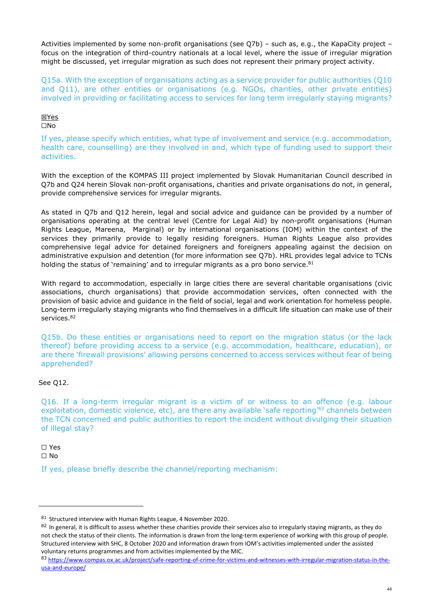Activities implemented by some non-profit organisations (see Q7b) – such as, e.g., the KapaCity project – focus on the integration of third-country nationals at a local level, where the issue of irregular migration might be discussed, yet irregular migration as such does not represent their primary project activity.

Q15a. With the exception of organisations acting as a service provider for public authorities (Q10 and Q11), are other entities or organisations (e.g. NGOs, charities, other private entities) involved in providing or facilitating access to services for long term irregularly staying migrants?

#### ☒Yes ☐No

If yes, please specify which entities, what type of involvement and service (e.g. accommodation, health care, counselling) are they involved in and, which type of funding used to support their activities.

With the exception of the KOMPAS III project implemented by Slovak Humanitarian Council described in Q7b and Q24 herein Slovak non-profit organisations, charities and private organisations do not, in general, provide comprehensive services for irregular migrants.

As stated in Q7b and Q12 herein, legal and social advice and guidance can be provided by a number of organisations operating at the central level (Centre for Legal Aid) by non-profit organisations (Human Rights League, Mareena, Marginal) or by international organisations (IOM) within the context of the services they primarily provide to legally residing foreigners. Human Rights League also provides comprehensive legal advice for detained foreigners and foreigners appealing against the decision on administrative expulsion and detention (for more information see Q7b). HRL provides legal advice to TCNs holding the status of 'remaining' and to irregular migrants as a pro bono service. $81$ 

With regard to accommodation, especially in large cities there are several charitable organisations (civic associations, church organisations) that provide accommodation services, often connected with the provision of basic advice and guidance in the field of social, legal and work orientation for homeless people. Long-term irregularly staying migrants who find themselves in a difficult life situation can make use of their services.<sup>82</sup>

Q15b. Do these entities or organisations need to report on the migration status (or the lack thereof) before providing access to a service (e.g. accommodation, healthcare, education), or are there 'firewall provisions' allowing persons concerned to access services without fear of being apprehended?

### See Q12.

Q16. If a long-term irregular migrant is a victim of or witness to an offence (e.g. labour exploitation, domestic violence, etc), are there any available 'safe reporting<sup>83</sup> channels between the TCN concerned and public authorities to report the incident without divulging their situation of illegal stay?

☐ Yes

☐ No

If yes, please briefly describe the channel/reporting mechanism:

<sup>81</sup> Structured interview with Human Rights League, 4 November 2020.

 $82$  In general, it is difficult to assess whether these charities provide their services also to irregularly staying migrants, as they do not check the status of their clients. The information is drawn from the long-term experience of working with this group of people. Structured interview with SHC, 8 October 2020 and information drawn from IOM's activities implemented under the assisted voluntary returns programmes and from activities implemented by the MIC.

<sup>83</sup> https://www.compas.ox.ac.uk/project/safe-reporting-of-crime-for-victims-and-witnesses-with-irregular-migration-status-in-theusa-and-europe/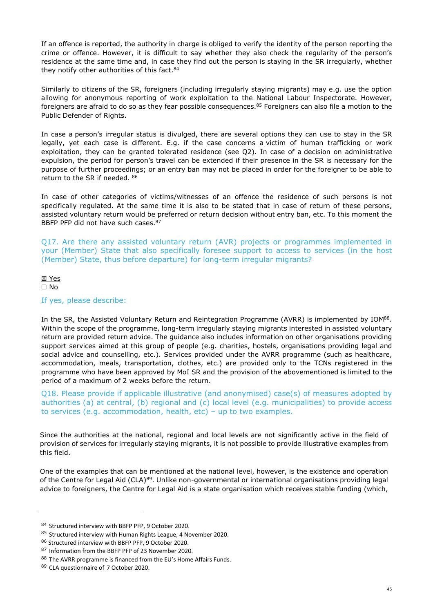If an offence is reported, the authority in charge is obliged to verify the identity of the person reporting the crime or offence. However, it is difficult to say whether they also check the regularity of the person's residence at the same time and, in case they find out the person is staying in the SR irregularly, whether they notify other authorities of this fact.<sup>84</sup>

Similarly to citizens of the SR, foreigners (including irregularly staying migrants) may e.g. use the option allowing for anonymous reporting of work exploitation to the National Labour Inspectorate. However, foreigners are afraid to do so as they fear possible consequences.<sup>85</sup> Foreigners can also file a motion to the Public Defender of Rights.

In case a person's irregular status is divulged, there are several options they can use to stay in the SR legally, yet each case is different. E.g. if the case concerns a victim of human trafficking or work exploitation, they can be granted tolerated residence (see Q2). In case of a decision on administrative expulsion, the period for person's travel can be extended if their presence in the SR is necessary for the purpose of further proceedings; or an entry ban may not be placed in order for the foreigner to be able to return to the SR if needed. <sup>86</sup>

In case of other categories of victims/witnesses of an offence the residence of such persons is not specifically regulated. At the same time it is also to be stated that in case of return of these persons, assisted voluntary return would be preferred or return decision without entry ban, etc. To this moment the BBFP PFP did not have such cases.<sup>87</sup>

Q17. Are there any assisted voluntary return (AVR) projects or programmes implemented in your (Member) State that also specifically foresee support to access to services (in the host (Member) State, thus before departure) for long-term irregular migrants?

#### ☒ Yes ☐ No

#### If yes, please describe:

In the SR, the Assisted Voluntary Return and Reintegration Programme (AVRR) is implemented by IOM<sup>88</sup>. Within the scope of the programme, long-term irregularly staying migrants interested in assisted voluntary return are provided return advice. The guidance also includes information on other organisations providing support services aimed at this group of people (e.g. charities, hostels, organisations providing legal and social advice and counselling, etc.). Services provided under the AVRR programme (such as healthcare, accommodation, meals, transportation, clothes, etc.) are provided only to the TCNs registered in the programme who have been approved by MoI SR and the provision of the abovementioned is limited to the period of a maximum of 2 weeks before the return.

Q18. Please provide if applicable illustrative (and anonymised) case(s) of measures adopted by authorities (a) at central, (b) regional and (c) local level (e.g. municipalities) to provide access to services (e.g. accommodation, health, etc) – up to two examples.

Since the authorities at the national, regional and local levels are not significantly active in the field of provision of services for irregularly staying migrants, it is not possible to provide illustrative examples from this field.

One of the examples that can be mentioned at the national level, however, is the existence and operation of the Centre for Legal Aid (CLA)<sup>89</sup>. Unlike non-governmental or international organisations providing legal advice to foreigners, the Centre for Legal Aid is a state organisation which receives stable funding (which,

<sup>84</sup> Structured interview with BBFP PFP, 9 October 2020.

<sup>85</sup> Structured interview with Human Rights League, 4 November 2020.

<sup>86</sup> Structured interview with BBFP PFP, 9 October 2020.

<sup>87</sup> Information from the BBFP PFP of 23 November 2020.

<sup>88</sup> The AVRR programme is financed from the EU's Home Affairs Funds.

<sup>89</sup> CLA questionnaire of 7 October 2020.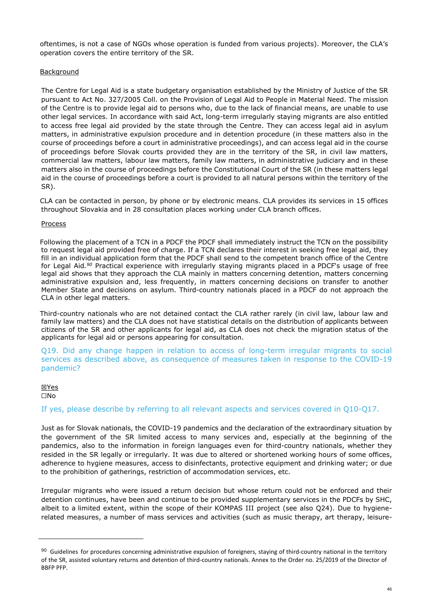oftentimes, is not a case of NGOs whose operation is funded from various projects). Moreover, the CLA's operation covers the entire territory of the SR.

#### Background

The Centre for Legal Aid is a state budgetary organisation established by the Ministry of Justice of the SR pursuant to Act No. 327/2005 Coll. on the Provision of Legal Aid to People in Material Need. The mission of the Centre is to provide legal aid to persons who, due to the lack of financial means, are unable to use other legal services. In accordance with said Act, long-term irregularly staying migrants are also entitled to access free legal aid provided by the state through the Centre. They can access legal aid in asylum matters, in administrative expulsion procedure and in detention procedure (in these matters also in the course of proceedings before a court in administrative proceedings), and can access legal aid in the course of proceedings before Slovak courts provided they are in the territory of the SR, in civil law matters, commercial law matters, labour law matters, family law matters, in administrative judiciary and in these matters also in the course of proceedings before the Constitutional Court of the SR (in these matters legal aid in the course of proceedings before a court is provided to all natural persons within the territory of the SR).

CLA can be contacted in person, by phone or by electronic means. CLA provides its services in 15 offices throughout Slovakia and in 28 consultation places working under CLA branch offices.

#### **Process**

Following the placement of a TCN in a PDCF the PDCF shall immediately instruct the TCN on the possibility to request legal aid provided free of charge. If a TCN declares their interest in seeking free legal aid, they fill in an individual application form that the PDCF shall send to the competent branch office of the Centre for Legal Aid*. <sup>90</sup>* Practical experience with irregularly staying migrants placed in a PDCF's usage of free legal aid shows that they approach the CLA mainly in matters concerning detention, matters concerning administrative expulsion and, less frequently, in matters concerning decisions on transfer to another Member State and decisions on asylum. Third-country nationals placed in a PDCF do not approach the CLA in other legal matters.

Third-country nationals who are not detained contact the CLA rather rarely (in civil law, labour law and family law matters) and the CLA does not have statistical details on the distribution of applicants between citizens of the SR and other applicants for legal aid, as CLA does not check the migration status of the applicants for legal aid or persons appearing for consultation.

Q19. Did any change happen in relation to access of long-term irregular migrants to social services as described above, as consequence of measures taken in response to the COVID-19 pandemic?

## ☒Yes

☐No

If yes, please describe by referring to all relevant aspects and services covered in Q10-Q17.

Just as for Slovak nationals, the COVID-19 pandemics and the declaration of the extraordinary situation by the government of the SR limited access to many services and, especially at the beginning of the pandemics, also to the information in foreign languages even for third-country nationals, whether they resided in the SR legally or irregularly. It was due to altered or shortened working hours of some offices, adherence to hygiene measures, access to disinfectants, protective equipment and drinking water; or due to the prohibition of gatherings, restriction of accommodation services, etc.

Irregular migrants who were issued a return decision but whose return could not be enforced and their detention continues, have been and continue to be provided supplementary services in the PDCFs by SHC, albeit to a limited extent, within the scope of their KOMPAS III project (see also Q24). Due to hygienerelated measures, a number of mass services and activities (such as music therapy, art therapy, leisure-

 $90$  Guidelines for procedures concerning administrative expulsion of foreigners, staying of third-country national in the territory of the SR, assisted voluntary returns and detention of third-country nationals. Annex to the Order no. 25/2019 of the Director of BBFP PFP.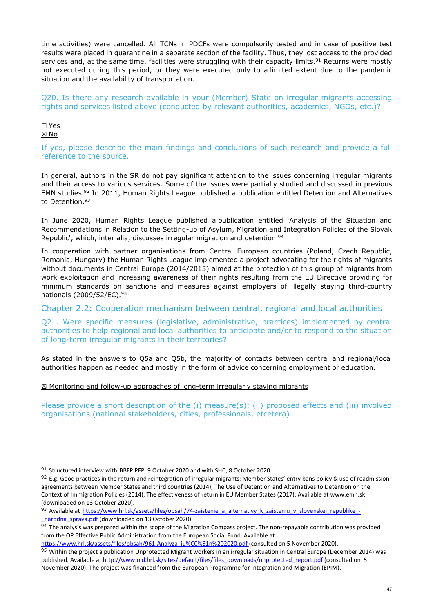time activities) were cancelled. All TCNs in PDCFs were compulsorily tested and in case of positive test results were placed in quarantine in a separate section of the facility. Thus, they lost access to the provided services and, at the same time, facilities were struggling with their capacity limits.<sup>91</sup> Returns were mostly not executed during this period, or they were executed only to a limited extent due to the pandemic situation and the availability of transportation.

Q20. Is there any research available in your (Member) State on irregular migrants accessing rights and services listed above (conducted by relevant authorities, academics, NGOs, etc.)?

#### ☐ Yes ☒ No

If yes, please describe the main findings and conclusions of such research and provide a full reference to the source.

In general, authors in the SR do not pay significant attention to the issues concerning irregular migrants and their access to various services. Some of the issues were partially studied and discussed in previous EMN studies.<sup>92</sup> In 2011, Human Rights League published a publication entitled Detention and Alternatives to Detention.<sup>93</sup>

In June 2020, Human Rights League published a publication entitled 'Analysis of the Situation and Recommendations in Relation to the Setting-up of Asylum, Migration and Integration Policies of the Slovak Republic', which, inter alia, discusses irregular migration and detention.<sup>94</sup>

In cooperation with partner organisations from Central European countries (Poland, Czech Republic, Romania, Hungary) the Human Rights League implemented a project advocating for the rights of migrants without documents in Central Europe (2014/2015) aimed at the protection of this group of migrants from work exploitation and increasing awareness of their rights resulting from the EU Directive providing for minimum standards on sanctions and measures against employers of illegally staying third-country nationals (2009/52/EC).<sup>95</sup>

Chapter 2.2: Cooperation mechanism between central, regional and local authorities

Q21. Were specific measures (legislative, administrative, practices) implemented by central authorities to help regional and local authorities to anticipate and/or to respond to the situation of long-term irregular migrants in their territories?

As stated in the answers to Q5a and Q5b, the majority of contacts between central and regional/local authorities happen as needed and mostly in the form of advice concerning employment or education.

### ☒ Monitoring and follow-up approaches of long-term irregularly staying migrants

Please provide a short description of the (i) measure(s); (ii) proposed effects and (iii) involved organisations (national stakeholders, cities, professionals, etcetera)

<sup>91</sup> Structured interview with BBFP PFP, 9 October 2020 and with SHC, 8 October 2020.

<sup>92</sup> E.g. Good practices in the return and reintegration of irregular migrants: Member States' entry bans policy & use of readmission agreements between Member States and third countries (2014), The Use of Detention and Alternatives to Detention on the Context of Immigration Policies (2014), The effectiveness of return in EU Member States (2017). Available at www.emn.sk (downloaded on 13 October 2020).

<sup>93</sup> Available at https://www.hrl.sk/assets/files/obsah/74-zaistenie\_a\_alternativy\_k\_zaisteniu\_v\_slovenskej\_republike\_narodna sprava.pdf (downloaded on 13 October 2020).

<sup>94</sup> The analysis was prepared within the scope of the Migration Compass project. The non-repayable contribution was provided from the OP Effective Public Administration from the European Social Fund. Available at

https://www.hrl.sk/assets/files/obsah/961-Analyza\_ju%CC%81n%202020.pdf (consulted on 5 November 2020). 95 Within the project a publication Unprotected Migrant workers in an irregular situation in Central Europe (December 2014) was published. Available at http://www.old.hrl.sk/sites/default/files/files\_downloads/unprotected\_report.pdf (consulted on 5 November 2020). The project was financed from the European Programme for Integration and Migration (EPIM).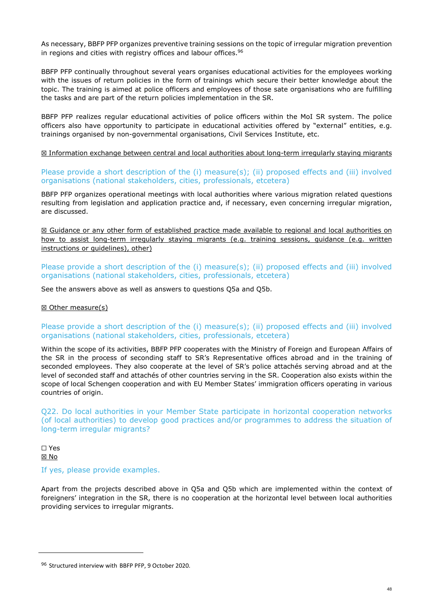As necessary, BBFP PFP organizes preventive training sessions on the topic of irregular migration prevention in regions and cities with registry offices and labour offices.<sup>96</sup>

BBFP PFP continually throughout several years organises educational activities for the employees working with the issues of return policies in the form of trainings which secure their better knowledge about the topic. The training is aimed at police officers and employees of those sate organisations who are fulfilling the tasks and are part of the return policies implementation in the SR.

BBFP PFP realizes regular educational activities of police officers within the MoI SR system. The police officers also have opportunity to participate in educational activities offered by "external" entities, e.g. trainings organised by non-governmental organisations, Civil Services Institute, etc.

☒ Information exchange between central and local authorities about long-term irregularly staying migrants

Please provide a short description of the (i) measure(s); (ii) proposed effects and (iii) involved organisations (national stakeholders, cities, professionals, etcetera)

BBFP PFP organizes operational meetings with local authorities where various migration related questions resulting from legislation and application practice and, if necessary, even concerning irregular migration, are discussed.

☒ Guidance or any other form of established practice made available to regional and local authorities on how to assist long-term irregularly staying migrants (e.g. training sessions, guidance (e.g. written instructions or quidelines), other)

Please provide a short description of the (i) measure(s); (ii) proposed effects and (iii) involved organisations (national stakeholders, cities, professionals, etcetera)

See the answers above as well as answers to questions Q5a and Q5b.

#### ☒ Other measure(s)

### Please provide a short description of the (i) measure(s); (ii) proposed effects and (iii) involved organisations (national stakeholders, cities, professionals, etcetera)

Within the scope of its activities, BBFP PFP cooperates with the Ministry of Foreign and European Affairs of the SR in the process of seconding staff to SR's Representative offices abroad and in the training of seconded employees. They also cooperate at the level of SR's police attachés serving abroad and at the level of seconded staff and attachés of other countries serving in the SR. Cooperation also exists within the scope of local Schengen cooperation and with EU Member States' immigration officers operating in various countries of origin.

Q22. Do local authorities in your Member State participate in horizontal cooperation networks (of local authorities) to develop good practices and/or programmes to address the situation of long-term irregular migrants?

☐ Yes ☒ No

If yes, please provide examples.

Apart from the projects described above in Q5a and Q5b which are implemented within the context of foreigners' integration in the SR, there is no cooperation at the horizontal level between local authorities providing services to irregular migrants.

<sup>96</sup> Structured interview with BBFP PFP, 9 October 2020.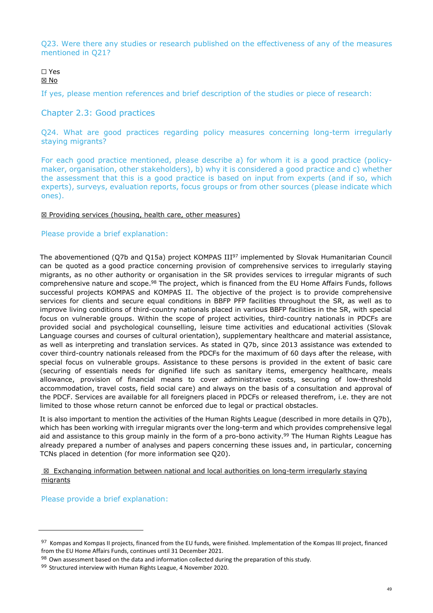Q23. Were there any studies or research published on the effectiveness of any of the measures mentioned in Q21?

#### ☐ Yes ☒ No

If yes, please mention references and brief description of the studies or piece of research:

## Chapter 2.3: Good practices

Q24. What are good practices regarding policy measures concerning long-term irregularly staying migrants?

For each good practice mentioned, please describe a) for whom it is a good practice (policymaker, organisation, other stakeholders), b) why it is considered a good practice and c) whether the assessment that this is a good practice is based on input from experts (and if so, which experts), surveys, evaluation reports, focus groups or from other sources (please indicate which ones).

#### ☒ Providing services (housing, health care, other measures)

### Please provide a brief explanation:

The abovementioned (Q7b and Q15a) project KOMPAS III<sup>97</sup> implemented by Slovak Humanitarian Council can be quoted as a good practice concerning provision of comprehensive services to irregularly staying migrants, as no other authority or organisation in the SR provides services to irregular migrants of such comprehensive nature and scope.<sup>98</sup> The project, which is financed from the EU Home Affairs Funds, follows successful projects KOMPAS and KOMPAS II. The objective of the project is to provide comprehensive services for clients and secure equal conditions in BBFP PFP facilities throughout the SR, as well as to improve living conditions of third-country nationals placed in various BBFP facilities in the SR, with special focus on vulnerable groups. Within the scope of project activities, third-country nationals in PDCFs are provided social and psychological counselling, leisure time activities and educational activities (Slovak Language courses and courses of cultural orientation), supplementary healthcare and material assistance, as well as interpreting and translation services. As stated in Q7b, since 2013 assistance was extended to cover third-country nationals released from the PDCFs for the maximum of 60 days after the release, with special focus on vulnerable groups. Assistance to these persons is provided in the extent of basic care (securing of essentials needs for dignified life such as sanitary items, emergency healthcare, meals allowance, provision of financial means to cover administrative costs, securing of low-threshold accommodation, travel costs, field social care) and always on the basis of a consultation and approval of the PDCF. Services are available for all foreigners placed in PDCFs or released therefrom, i.e. they are not limited to those whose return cannot be enforced due to legal or practical obstacles.

It is also important to mention the activities of the Human Rights League (described in more details in Q7b), which has been working with irregular migrants over the long-term and which provides comprehensive legal aid and assistance to this group mainly in the form of a pro-bono activity.<sup>99</sup> The Human Rights League has already prepared a number of analyses and papers concerning these issues and, in particular, concerning TCNs placed in detention (for more information see Q20).

☒ Exchanging information between national and local authorities on long-term irregularly staying migrants

Please provide a brief explanation:

<sup>97</sup> Kompas and Kompas II projects, financed from the EU funds, were finished. Implementation of the Kompas III project, financed from the EU Home Affairs Funds, continues until 31 December 2021.

<sup>98</sup> Own assessment based on the data and information collected during the preparation of this study.

<sup>99</sup> Structured interview with Human Rights League, 4 November 2020.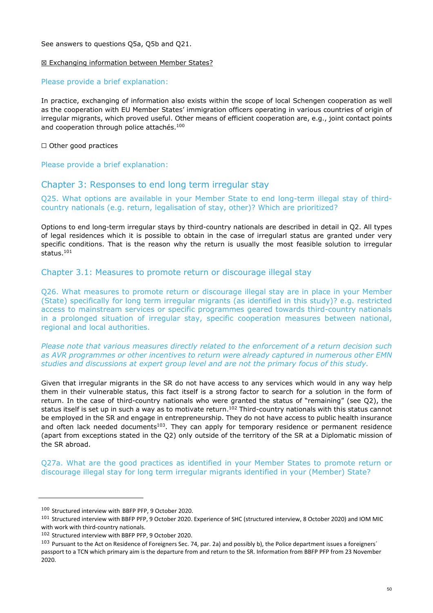See answers to questions Q5a, Q5b and Q21.

#### ☒ Exchanging information between Member States?

#### Please provide a brief explanation:

In practice, exchanging of information also exists within the scope of local Schengen cooperation as well as the cooperation with EU Member States' immigration officers operating in various countries of origin of irregular migrants, which proved useful. Other means of efficient cooperation are, e.g., joint contact points and cooperation through police attachés.<sup>100</sup>

☐ Other good practices

Please provide a brief explanation:

## Chapter 3: Responses to end long term irregular stay

Q25. What options are available in your Member State to end long-term illegal stay of thirdcountry nationals (e.g. return, legalisation of stay, other)? Which are prioritized?

Options to end long-term irregular stays by third-country nationals are described in detail in Q2. All types of legal residences which it is possible to obtain in the case of irregularl status are granted under very specific conditions. That is the reason why the return is usually the most feasible solution to irregular status.<sup>101</sup>

#### Chapter 3.1: Measures to promote return or discourage illegal stay

Q26. What measures to promote return or discourage illegal stay are in place in your Member (State) specifically for long term irregular migrants (as identified in this study)? e.g. restricted access to mainstream services or specific programmes geared towards third-country nationals in a prolonged situation of irregular stay, specific cooperation measures between national, regional and local authorities.

*Please note that various measures directly related to the enforcement of a return decision such as AVR programmes or other incentives to return were already captured in numerous other EMN studies and discussions at expert group level and are not the primary focus of this study.* 

Given that irregular migrants in the SR do not have access to any services which would in any way help them in their vulnerable status, this fact itself is a strong factor to search for a solution in the form of return. In the case of third-country nationals who were granted the status of "remaining" (see Q2), the status itself is set up in such a way as to motivate return.<sup>102</sup> Third-country nationals with this status cannot be employed in the SR and engage in entrepreneurship. They do not have access to public health insurance and often lack needed documents<sup>103</sup>. They can apply for temporary residence or permanent residence (apart from exceptions stated in the Q2) only outside of the territory of the SR at a Diplomatic mission of the SR abroad.

Q27a. What are the good practices as identified in your Member States to promote return or discourage illegal stay for long term irregular migrants identified in your (Member) State?

<sup>100</sup> Structured interview with BBFP PFP, 9 October 2020.

<sup>101</sup> Structured interview with BBFP PFP, 9 October 2020. Experience of SHC (structured interview, 8 October 2020) and IOM MIC with work with third-country nationals.

<sup>102</sup> Structured interview with BBFP PFP, 9 October 2020.

 $103$  Pursuant to the Act on Residence of Foreigners Sec. 74, par. 2a) and possibly b), the Police department issues a foreigners' passport to a TCN which primary aim is the departure from and return to the SR. Information from BBFP PFP from 23 November 2020.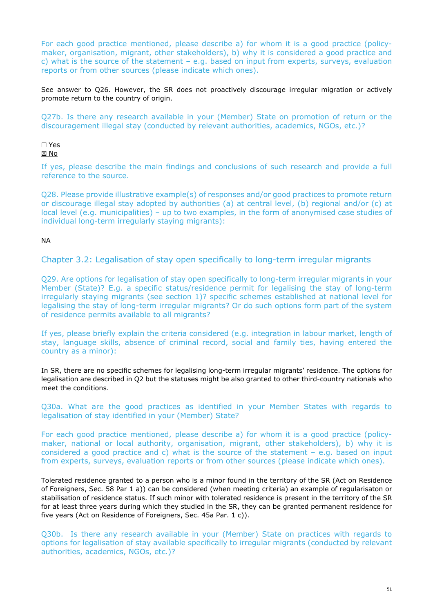For each good practice mentioned, please describe a) for whom it is a good practice (policymaker, organisation, migrant, other stakeholders), b) why it is considered a good practice and c) what is the source of the statement – e.g. based on input from experts, surveys, evaluation reports or from other sources (please indicate which ones).

See answer to Q26. However, the SR does not proactively discourage irregular migration or actively promote return to the country of origin.

Q27b. Is there any research available in your (Member) State on promotion of return or the discouragement illegal stay (conducted by relevant authorities, academics, NGOs, etc.)?

## ☐ Yes

☒ No

If yes, please describe the main findings and conclusions of such research and provide a full reference to the source.

Q28. Please provide illustrative example(s) of responses and/or good practices to promote return or discourage illegal stay adopted by authorities (a) at central level, (b) regional and/or (c) at local level (e.g. municipalities) – up to two examples, in the form of anonymised case studies of individual long-term irregularly staying migrants):

NA

Chapter 3.2: Legalisation of stay open specifically to long-term irregular migrants

Q29. Are options for legalisation of stay open specifically to long-term irregular migrants in your Member (State)? E.g. a specific status/residence permit for legalising the stay of long-term irregularly staying migrants (see section 1)? specific schemes established at national level for legalising the stay of long-term irregular migrants? Or do such options form part of the system of residence permits available to all migrants?

If yes, please briefly explain the criteria considered (e.g. integration in labour market, length of stay, language skills, absence of criminal record, social and family ties, having entered the country as a minor):

In SR, there are no specific schemes for legalising long-term irregular migrants' residence. The options for legalisation are described in Q2 but the statuses might be also granted to other third-country nationals who meet the conditions.

Q30a. What are the good practices as identified in your Member States with regards to legalisation of stay identified in your (Member) State?

For each good practice mentioned, please describe a) for whom it is a good practice (policymaker, national or local authority, organisation, migrant, other stakeholders), b) why it is considered a good practice and c) what is the source of the statement – e.g. based on input from experts, surveys, evaluation reports or from other sources (please indicate which ones).

Tolerated residence granted to a person who is a minor found in the territory of the SR (Act on Residence of Foreigners, Sec. 58 Par 1 a)) can be considered (when meeting criteria) an example of regularisaton or stabilisation of residence status. If such minor with tolerated residence is present in the territory of the SR for at least three years during which they studied in the SR, they can be granted permanent residence for five years (Act on Residence of Foreigners, Sec. 45a Par. 1 c)).

Q30b. Is there any research available in your (Member) State on practices with regards to options for legalisation of stay available specifically to irregular migrants (conducted by relevant authorities, academics, NGOs, etc.)?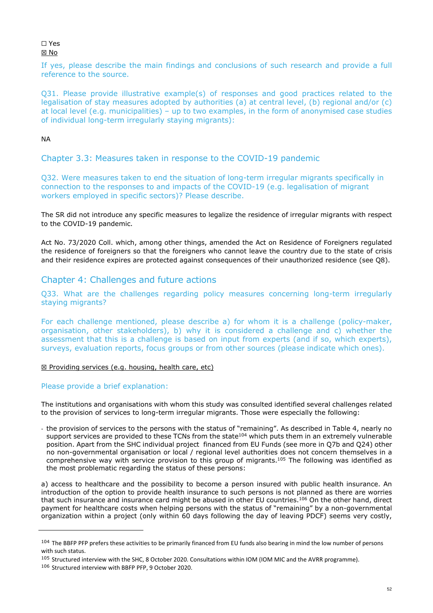#### ☐ Yes ☒ No

If yes, please describe the main findings and conclusions of such research and provide a full reference to the source.

Q31. Please provide illustrative example(s) of responses and good practices related to the legalisation of stay measures adopted by authorities (a) at central level, (b) regional and/or (c) at local level (e.g. municipalities) – up to two examples, in the form of anonymised case studies of individual long-term irregularly staying migrants):

## NA

## Chapter 3.3: Measures taken in response to the COVID-19 pandemic

Q32. Were measures taken to end the situation of long-term irregular migrants specifically in connection to the responses to and impacts of the COVID-19 (e.g. legalisation of migrant workers employed in specific sectors)? Please describe.

The SR did not introduce any specific measures to legalize the residence of irregular migrants with respect to the COVID-19 pandemic.

Act No. 73/2020 Coll. which, among other things, amended the Act on Residence of Foreigners regulated the residence of foreigners so that the foreigners who cannot leave the country due to the state of crisis and their residence expires are protected against consequences of their unauthorized residence (see O8).

## Chapter 4: Challenges and future actions

Q33. What are the challenges regarding policy measures concerning long-term irregularly staying migrants?

For each challenge mentioned, please describe a) for whom it is a challenge (policy-maker, organisation, other stakeholders), b) why it is considered a challenge and c) whether the assessment that this is a challenge is based on input from experts (and if so, which experts), surveys, evaluation reports, focus groups or from other sources (please indicate which ones).

### ☒ Providing services (e.g. housing, health care, etc)

### Please provide a brief explanation:

The institutions and organisations with whom this study was consulted identified several challenges related to the provision of services to long-term irregular migrants. Those were especially the following:

- the provision of services to the persons with the status of "remaining". As described in Table 4, nearly no support services are provided to these TCNs from the state<sup>104</sup> which puts them in an extremely vulnerable position. Apart from the SHC individual project financed from EU Funds (see more in Q7b and Q24) other no non-governmental organisation or local / regional level authorities does not concern themselves in a comprehensive way with service provision to this group of migrants.<sup>105</sup> The following was identified as the most problematic regarding the status of these persons:

a) access to healthcare and the possibility to become a person insured with public health insurance. An introduction of the option to provide health insurance to such persons is not planned as there are worries that such insurance and insurance card might be abused in other EU countries.<sup>106</sup> On the other hand, direct payment for healthcare costs when helping persons with the status of "remaining" by a non-governmental organization within a project (only within 60 days following the day of leaving PDCF) seems very costly,

<sup>&</sup>lt;sup>104</sup> The BBFP PFP prefers these activities to be primarily financed from EU funds also bearing in mind the low number of persons with such status.

<sup>&</sup>lt;sup>105</sup> Structured interview with the SHC, 8 October 2020. Consultations within IOM (IOM MIC and the AVRR programme).

<sup>106</sup> Structured interview with BBFP PFP, 9 October 2020.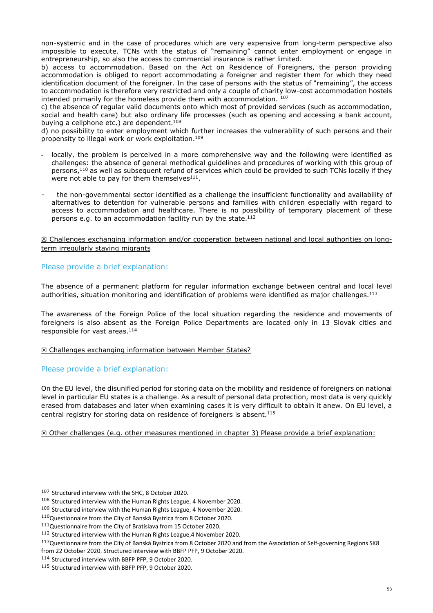non-systemic and in the case of procedures which are very expensive from long-term perspective also impossible to execute. TCNs with the status of "remaining" cannot enter employment or engage in entrepreneurship, so also the access to commercial insurance is rather limited.

b) access to accommodation. Based on the Act on Residence of Foreigners, the person providing accommodation is obliged to report accommodating a foreigner and register them for which they need identification document of the foreigner. In the case of persons with the status of "remaining", the access to accommodation is therefore very restricted and only a couple of charity low-cost accommodation hostels intended primarily for the homeless provide them with accommodation. 107

c) the absence of regular valid documents onto which most of provided services (such as accommodation, social and health care) but also ordinary life processes (such as opening and accessing a bank account, buying a cellphone etc.) are dependent.<sup>108</sup>

d) no possibility to enter employment which further increases the vulnerability of such persons and their propensity to illegal work or work exploitation.<sup>109</sup>

- locally, the problem is perceived in a more comprehensive way and the following were identified as challenges: the absence of general methodical guidelines and procedures of working with this group of persons,<sup>110</sup> as well as subsequent refund of services which could be provided to such TCNs locally if they were not able to pay for them themselves $^{111}$ .
- the non-governmental sector identified as a challenge the insufficient functionality and availability of alternatives to detention for vulnerable persons and families with children especially with regard to access to accommodation and healthcare. There is no possibility of temporary placement of these persons e.g. to an accommodation facility run by the state.<sup>112</sup>

#### ☒ Challenges exchanging information and/or cooperation between national and local authorities on longterm irregularly staying migrants

### Please provide a brief explanation:

The absence of a permanent platform for regular information exchange between central and local level authorities, situation monitoring and identification of problems were identified as major challenges. $^{113}$ 

The awareness of the Foreign Police of the local situation regarding the residence and movements of foreigners is also absent as the Foreign Police Departments are located only in 13 Slovak cities and responsible for vast areas.<sup>114</sup>

#### $⊠$  **Challenges exchanging information between Member States?**

### Please provide a brief explanation:

On the EU level, the disunified period for storing data on the mobility and residence of foreigners on national level in particular EU states is a challenge. As a result of personal data protection, most data is very quickly erased from databases and later when examining cases it is very difficult to obtain it anew. On EU level, a central registry for storing data on residence of foreigners is absent.<sup>115</sup>

☒ Other challenges (e.g. other measures mentioned in chapter 3) Please provide a brief explanation:

<sup>107</sup> Structured interview with the SHC, 8 October 2020.

<sup>108</sup> Structured interview with the Human Rights League, 4 November 2020.

<sup>&</sup>lt;sup>109</sup> Structured interview with the Human Rights League, 4 November 2020.

<sup>110</sup>Questionnaire from the City of Banská Bystrica from 8 October 2020.

<sup>111</sup>Questionnaire from the City of Bratislava from 15 October 2020.

<sup>112</sup> Structured interview with the Human Rights League,4 November 2020.

<sup>&</sup>lt;sup>113</sup>Questionnaire from the City of Banská Bystrica from 8 October 2020 and from the Association of Self-governing Regions SK8 from 22 October 2020. Structured interview with BBFP PFP, 9 October 2020.

<sup>114</sup> Structured interview with BBFP PFP, 9 October 2020.

<sup>115</sup> Structured interview with BBFP PFP, 9 October 2020.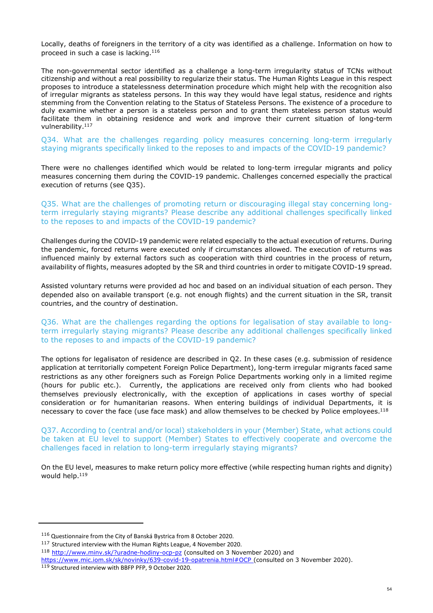Locally, deaths of foreigners in the territory of a city was identified as a challenge. Information on how to proceed in such a case is lacking.<sup>116</sup>

The non-governmental sector identified as a challenge a long-term irregularity status of TCNs without citizenship and without a real possibility to regularize their status. The Human Rights League in this respect proposes to introduce a statelessness determination procedure which might help with the recognition also of irregular migrants as stateless persons. In this way they would have legal status, residence and rights stemming from the Convention relating to the Status of Stateless Persons. The existence of a procedure to duly examine whether a person is a stateless person and to grant them stateless person status would facilitate them in obtaining residence and work and improve their current situation of long-term vulnerability.<sup>117</sup>

Q34. What are the challenges regarding policy measures concerning long-term irregularly staying migrants specifically linked to the reposes to and impacts of the COVID-19 pandemic?

There were no challenges identified which would be related to long-term irregular migrants and policy measures concerning them during the COVID-19 pandemic. Challenges concerned especially the practical execution of returns (see Q35).

Q35. What are the challenges of promoting return or discouraging illegal stay concerning longterm irregularly staying migrants? Please describe any additional challenges specifically linked to the reposes to and impacts of the COVID-19 pandemic?

Challenges during the COVID-19 pandemic were related especially to the actual execution of returns. During the pandemic, forced returns were executed only if circumstances allowed. The execution of returns was influenced mainly by external factors such as cooperation with third countries in the process of return, availability of flights, measures adopted by the SR and third countries in order to mitigate COVID-19 spread.

Assisted voluntary returns were provided ad hoc and based on an individual situation of each person. They depended also on available transport (e.g. not enough flights) and the current situation in the SR, transit countries, and the country of destination.

Q36. What are the challenges regarding the options for legalisation of stay available to longterm irregularly staying migrants? Please describe any additional challenges specifically linked to the reposes to and impacts of the COVID-19 pandemic?

The options for legalisaton of residence are described in Q2. In these cases (e.g. submission of residence application at territorially competent Foreign Police Department), long-term irregular migrants faced same restrictions as any other foreigners such as Foreign Police Departments working only in a limited regime (hours for public etc.). Currently, the applications are received only from clients who had booked themselves previously electronically, with the exception of applications in cases worthy of special consideration or for humanitarian reasons. When entering buildings of individual Departments, it is necessary to cover the face (use face mask) and allow themselves to be checked by Police employees.<sup>118</sup>

Q37. According to (central and/or local) stakeholders in your (Member) State, what actions could be taken at EU level to support (Member) States to effectively cooperate and overcome the challenges faced in relation to long-term irregularly staying migrants?

On the EU level, measures to make return policy more effective (while respecting human rights and dignity) would help.<sup>119</sup>

<sup>116</sup> Questionnaire from the City of Banská Bystrica from 8 October 2020.

<sup>117</sup> Structured interview with the Human Rights League, 4 November 2020.

<sup>118</sup> http://www.minv.sk/?uradne-hodiny-ocp-pz (consulted on 3 November 2020) and

https://www.mic.iom.sk/sk/novinky/639-covid-19-opatrenia.html#OCP (consulted on 3 November 2020). 119 Structured interview with BBFP PFP, 9 October 2020.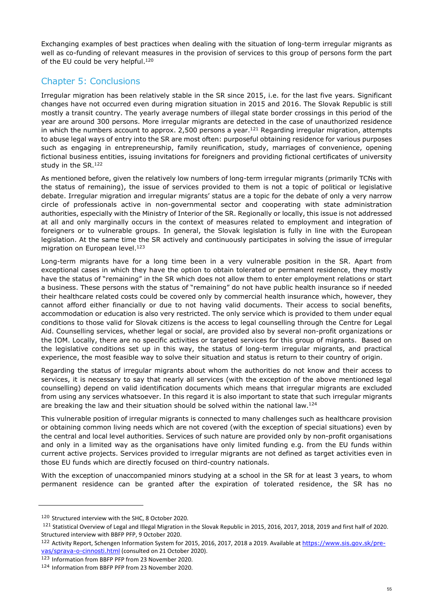Exchanging examples of best practices when dealing with the situation of long-term irregular migrants as well as co-funding of relevant measures in the provision of services to this group of persons form the part of the EU could be very helpful.<sup>120</sup>

## Chapter 5: Conclusions

Irregular migration has been relatively stable in the SR since 2015, i.e. for the last five years. Significant changes have not occurred even during migration situation in 2015 and 2016. The Slovak Republic is still mostly a transit country. The yearly average numbers of illegal state border crossings in this period of the year are around 300 persons. More irregular migrants are detected in the case of unauthorized residence in which the numbers account to approx. 2,500 persons a year.<sup>121</sup> Regarding irregular migration, attempts to abuse legal ways of entry into the SR are most often: purposeful obtaining residence for various purposes such as engaging in entrepreneurship, family reunification, study, marriages of convenience, opening fictional business entities, issuing invitations for foreigners and providing fictional certificates of university study in the SR.<sup>122</sup>

As mentioned before, given the relatively low numbers of long-term irregular migrants (primarily TCNs with the status of remaining), the issue of services provided to them is not a topic of political or legislative debate. Irregular migration and irregular migrants' status are a topic for the debate of only a very narrow circle of professionals active in non-governmental sector and cooperating with state administration authorities, especially with the Ministry of Interior of the SR. Regionally or locally, this issue is not addressed at all and only marginally occurs in the context of measures related to employment and integration of foreigners or to vulnerable groups. In general, the Slovak legislation is fully in line with the European legislation. At the same time the SR actively and continuously participates in solving the issue of irregular migration on European level.<sup>123</sup>

Long-term migrants have for a long time been in a very vulnerable position in the SR. Apart from exceptional cases in which they have the option to obtain tolerated or permanent residence, they mostly have the status of "remaining" in the SR which does not allow them to enter employment relations or start a business. These persons with the status of "remaining" do not have public health insurance so if needed their healthcare related costs could be covered only by commercial health insurance which, however, they cannot afford either financially or due to not having valid documents. Their access to social benefits, accommodation or education is also very restricted. The only service which is provided to them under equal conditions to those valid for Slovak citizens is the access to legal counselling through the Centre for Legal Aid. Counselling services, whether legal or social, are provided also by several non-profit organizations or the IOM. Locally, there are no specific activities or targeted services for this group of migrants. Based on the legislative conditions set up in this way, the status of long-term irregular migrants, and practical experience, the most feasible way to solve their situation and status is return to their country of origin.

Regarding the status of irregular migrants about whom the authorities do not know and their access to services, it is necessary to say that nearly all services (with the exception of the above mentioned legal counselling) depend on valid identification documents which means that irregular migrants are excluded from using any services whatsoever. In this regard it is also important to state that such irregular migrants are breaking the law and their situation should be solved within the national law.<sup>124</sup>

This vulnerable position of irregular migrants is connected to many challenges such as healthcare provision or obtaining common living needs which are not covered (with the exception of special situations) even by the central and local level authorities. Services of such nature are provided only by non-profit organisations and only in a limited way as the organisations have only limited funding e.g. from the EU funds within current active projects. Services provided to irregular migrants are not defined as target activities even in those EU funds which are directly focused on third-country nationals.

With the exception of unaccompanied minors studying at a school in the SR for at least 3 years, to whom permanent residence can be granted after the expiration of tolerated residence, the SR has no

<sup>120</sup> Structured interview with the SHC, 8 October 2020.

<sup>121</sup> Statistical Overview of Legal and Illegal Migration in the Slovak Republic in 2015, 2016, 2017, 2018, 2019 and first half of 2020. Structured interview with BBFP PFP, 9 October 2020.

<sup>122</sup> Activity Report, Schengen Information System for 2015, 2016, 2017, 2018 a 2019. Available at https://www.sis.gov.sk/prevas/sprava-o-cinnosti.html (consulted on 21 October 2020).

<sup>123</sup> Information from BBFP PFP from 23 November 2020.

<sup>124</sup> Information from BBFP PFP from 23 November 2020.